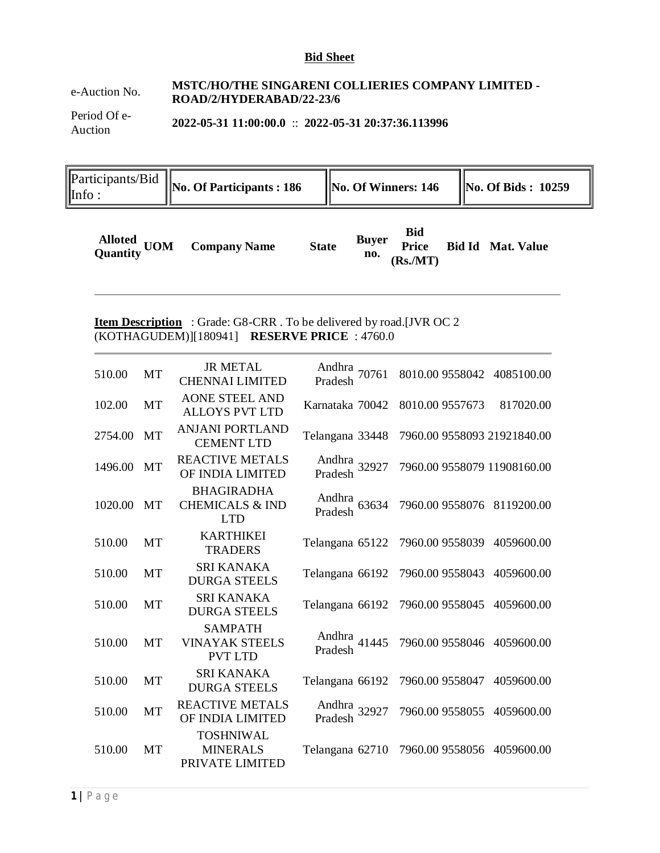#### **Bid Sheet**

## e-Auction No. **MSTC/HO/THE SINGARENI COLLIERIES COMPANY LIMITED - ROAD/2/HYDERABAD/22-23/6**

Period Of e-Auction **2022-05-31 11:00:00.0** :: **2022-05-31 20:37:36.113996**

Participants/Bid **Participants/B10** No. Of Participants : 186 ||No. Of Winners: 146 ||No. Of Bids : 10259

| Bid<br>Alloted<br>Quantity UOM Company Name<br>Alle Buyer Price Bid Id Mat. Value<br><b>State</b><br>no.<br>(Rs/MT) |
|---------------------------------------------------------------------------------------------------------------------|
|---------------------------------------------------------------------------------------------------------------------|

## **Item Description** : Grade: G8-CRR . To be delivered by road.[JVR OC 2 (KOTHAGUDEM)][180941] **RESERVE PRICE** : 4760.0

| 510.00  | MT        | <b>JR METAL</b><br><b>CHENNAI LIMITED</b>                     | Andhra 70761<br>Pradesh | 8010.00 9558042 4085100.00  |            |
|---------|-----------|---------------------------------------------------------------|-------------------------|-----------------------------|------------|
| 102.00  | MT        | <b>AONE STEEL AND</b><br><b>ALLOYS PVT LTD</b>                | Karnataka 70042         | 8010.00 9557673             | 817020.00  |
| 2754.00 | <b>MT</b> | <b>ANJANI PORTLAND</b><br><b>CEMENT LTD</b>                   | Telangana 33448         | 7960.00 9558093 21921840.00 |            |
| 1496.00 | <b>MT</b> | <b>REACTIVE METALS</b><br>OF INDIA LIMITED                    | Andhra 32927<br>Pradesh | 7960.00 9558079 11908160.00 |            |
| 1020.00 | <b>MT</b> | <b>BHAGIRADHA</b><br><b>CHEMICALS &amp; IND</b><br><b>LTD</b> | Andhra 63634<br>Pradesh | 7960.00 9558076 8119200.00  |            |
| 510.00  | MT        | <b>KARTHIKEI</b><br><b>TRADERS</b>                            | Telangana 65122         | 7960.00 9558039             | 4059600.00 |
| 510.00  | MT        | <b>SRI KANAKA</b><br><b>DURGA STEELS</b>                      | Telangana 66192         | 7960.00 9558043             | 4059600.00 |
| 510.00  | MT        | SRI KANAKA<br><b>DURGA STEELS</b>                             | Telangana 66192         | 7960.00 9558045             | 4059600.00 |
| 510.00  | <b>MT</b> | <b>SAMPATH</b><br><b>VINAYAK STEELS</b><br><b>PVT LTD</b>     | Andhra 41445<br>Pradesh | 7960.00 9558046             | 4059600.00 |
| 510.00  | <b>MT</b> | SRI KANAKA<br><b>DURGA STEELS</b>                             | Telangana 66192         | 7960.00 9558047             | 4059600.00 |
| 510.00  | MT        | <b>REACTIVE METALS</b><br>OF INDIA LIMITED                    | Andhra 32927<br>Pradesh | 7960.00 9558055             | 4059600.00 |
| 510.00  | MT        | <b>TOSHNIWAL</b><br><b>MINERALS</b><br>PRIVATE LIMITED        | Telangana 62710         | 7960.00 9558056             | 4059600.00 |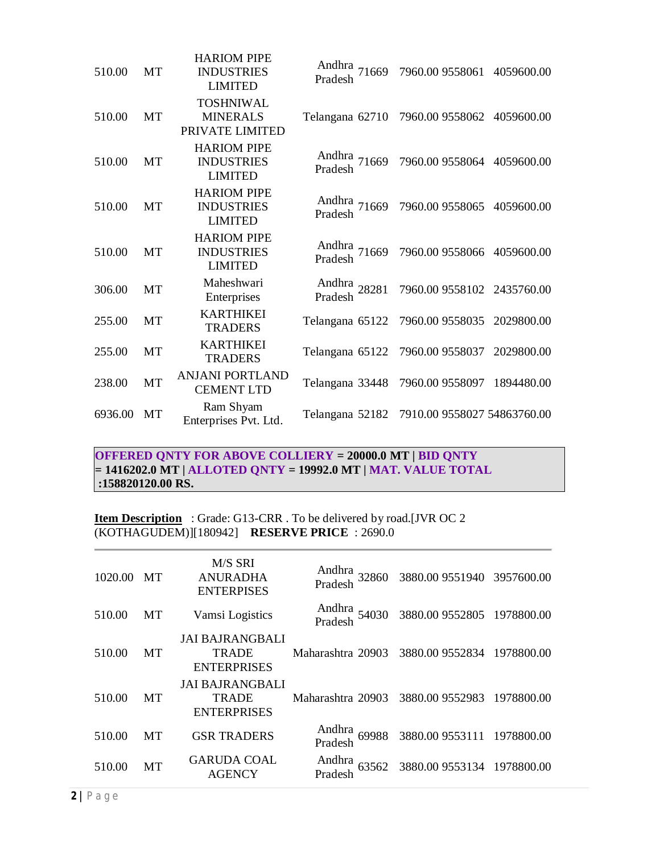| 510.00  | <b>MT</b> | <b>HARIOM PIPE</b><br><b>INDUSTRIES</b><br><b>LIMITED</b> | Andhra<br>Pradesh 71669 | 7960.00 9558061             | 4059600.00 |
|---------|-----------|-----------------------------------------------------------|-------------------------|-----------------------------|------------|
| 510.00  | MT        | <b>TOSHNIWAL</b><br><b>MINERALS</b><br>PRIVATE LIMITED    | Telangana 62710         | 7960.00 9558062 4059600.00  |            |
| 510.00  | <b>MT</b> | <b>HARIOM PIPE</b><br><b>INDUSTRIES</b><br><b>LIMITED</b> | Andhra<br>Pradesh 71669 | 7960.00 9558064 4059600.00  |            |
| 510.00  | MT        | <b>HARIOM PIPE</b><br><b>INDUSTRIES</b><br><b>LIMITED</b> | Andhra 71669<br>Pradesh | 7960.00 9558065             | 4059600.00 |
| 510.00  | <b>MT</b> | <b>HARIOM PIPE</b><br><b>INDUSTRIES</b><br><b>LIMITED</b> | Andhra<br>Pradesh 71669 | 7960.00 9558066             | 4059600.00 |
| 306.00  | MT        | Maheshwari<br>Enterprises                                 | Andhra 28281<br>Pradesh | 7960.00 9558102 2435760.00  |            |
| 255.00  | MT        | <b>KARTHIKEI</b><br><b>TRADERS</b>                        | Telangana 65122         | 7960.00 9558035             | 2029800.00 |
| 255.00  | MT        | <b>KARTHIKEI</b><br><b>TRADERS</b>                        | Telangana 65122         | 7960.00 9558037             | 2029800.00 |
| 238.00  | MT        | <b>ANJANI PORTLAND</b><br><b>CEMENT LTD</b>               | Telangana 33448         | 7960.00 9558097             | 1894480.00 |
| 6936.00 | MT        | Ram Shyam<br>Enterprises Pvt. Ltd.                        | Telangana 52182         | 7910.00 9558027 54863760.00 |            |
|         |           |                                                           |                         |                             |            |

**OFFERED QNTY FOR ABOVE COLLIERY = 20000.0 MT | BID QNTY = 1416202.0 MT | ALLOTED QNTY = 19992.0 MT | MAT. VALUE TOTAL :158820120.00 RS.**

**Item Description** : Grade: G13-CRR . To be delivered by road.[JVR OC 2 (KOTHAGUDEM)][180942] **RESERVE PRICE** : 2690.0

| 1020.00 | MT | M/S SRI<br><b>ANURADHA</b><br><b>ENTERPISES</b>              | Andhra<br>Pradesh 32860 | 3880.00 9551940 3957600.00                           |  |
|---------|----|--------------------------------------------------------------|-------------------------|------------------------------------------------------|--|
| 510.00  | MT | Vamsi Logistics                                              |                         | Andhra<br>54030 3880.009552805 1978800.00<br>Pradesh |  |
| 510.00  | MT | <b>JAI BAJRANGBALI</b><br><b>TRADE</b><br><b>ENTERPRISES</b> | Maharashtra 20903       | 3880.00 9552834 1978800.00                           |  |
| 510.00  | MТ | <b>JAI BAJRANGBALI</b><br>TRADE<br><b>ENTERPRISES</b>        | Maharashtra 20903       | 3880.00 9552983 1978800.00                           |  |
| 510.00  | MT | <b>GSR TRADERS</b>                                           | Andhra 69988<br>Pradesh | 3880.00 9553111 1978800.00                           |  |
| 510.00  | MT | <b>GARUDA COAL</b><br><b>AGENCY</b>                          | Andhra<br>63562         | 3880.00 9553134 1978800.00                           |  |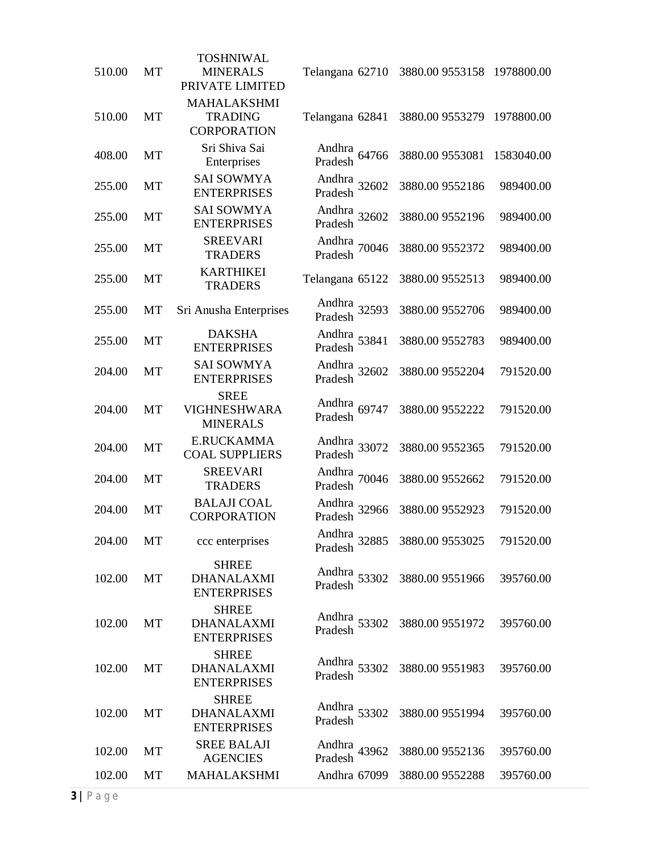| 510.00 | MT        | <b>TOSHNIWAL</b><br><b>MINERALS</b><br>PRIVATE LIMITED     | Telangana 62710            | 3880.00 9553158            | 1978800.00 |
|--------|-----------|------------------------------------------------------------|----------------------------|----------------------------|------------|
| 510.00 | MT        | <b>MAHALAKSHMI</b><br><b>TRADING</b><br><b>CORPORATION</b> | Telangana 62841            | 3880.00 9553279 1978800.00 |            |
| 408.00 | <b>MT</b> | Sri Shiva Sai<br>Enterprises                               | Andhra 64766<br>Pradesh    | 3880.00 9553081            | 1583040.00 |
| 255.00 | MT        | <b>SAI SOWMYA</b><br><b>ENTERPRISES</b>                    | Andhra<br>Pradesh 32602    | 3880.00 9552186            | 989400.00  |
| 255.00 | MT        | <b>SAI SOWMYA</b><br><b>ENTERPRISES</b>                    | Andhra 32602<br>Pradesh    | 3880.00 9552196            | 989400.00  |
| 255.00 | MT        | <b>SREEVARI</b><br><b>TRADERS</b>                          | Andhra 70046<br>Pradesh    | 3880.00 9552372            | 989400.00  |
| 255.00 | MT        | <b>KARTHIKEI</b><br><b>TRADERS</b>                         | Telangana 65122            | 3880.00 9552513            | 989400.00  |
| 255.00 | <b>MT</b> | Sri Anusha Enterprises                                     | Andhra 32593<br>Pradesh    | 3880.00 9552706            | 989400.00  |
| 255.00 | MT        | <b>DAKSHA</b><br><b>ENTERPRISES</b>                        | Andhra<br>Pradesh 53841    | 3880.00 9552783            | 989400.00  |
| 204.00 | MT        | <b>SAI SOWMYA</b><br><b>ENTERPRISES</b>                    | Andhra 32602<br>Pradesh    | 3880.00 9552204            | 791520.00  |
| 204.00 | <b>MT</b> | <b>SREE</b><br><b>VIGHNESHWARA</b><br><b>MINERALS</b>      | Andhra 69747<br>Pradesh    | 3880.00 9552222            | 791520.00  |
| 204.00 | MT        | <b>E.RUCKAMMA</b><br><b>COAL SUPPLIERS</b>                 | Andhra 33072<br>Pradesh    | 3880.00 9552365            | 791520.00  |
| 204.00 | MT        | <b>SREEVARI</b><br><b>TRADERS</b>                          | Andhra 70046<br>Pradesh    | 3880.00 9552662            | 791520.00  |
| 204.00 | MT        | <b>BALAJI COAL</b><br><b>CORPORATION</b>                   | Andhra 32966<br>Pradesh    | 3880.00 9552923            | 791520.00  |
| 204.00 | МT        | ccc enterprises                                            | Andhra<br>32885<br>Pradesh | 3880.00 9553025            | 791520.00  |
| 102.00 | <b>MT</b> | <b>SHREE</b><br><b>DHANALAXMI</b><br><b>ENTERPRISES</b>    | Andhra 53302<br>Pradesh    | 3880.00 9551966            | 395760.00  |
| 102.00 | MT        | <b>SHREE</b><br><b>DHANALAXMI</b><br><b>ENTERPRISES</b>    | Andhra 53302<br>Pradesh    | 3880.00 9551972            | 395760.00  |
| 102.00 | MT        | <b>SHREE</b><br><b>DHANALAXMI</b><br><b>ENTERPRISES</b>    | Andhra 53302<br>Pradesh    | 3880.00 9551983            | 395760.00  |
| 102.00 | MT        | <b>SHREE</b><br><b>DHANALAXMI</b><br><b>ENTERPRISES</b>    | Andhra 53302<br>Pradesh    | 3880.00 9551994            | 395760.00  |
| 102.00 | MT        | <b>SREE BALAJI</b><br><b>AGENCIES</b>                      | Andhra 43962<br>Pradesh    | 3880.00 9552136            | 395760.00  |
| 102.00 | MT        | <b>MAHALAKSHMI</b>                                         | Andhra 67099               | 3880.00 9552288            | 395760.00  |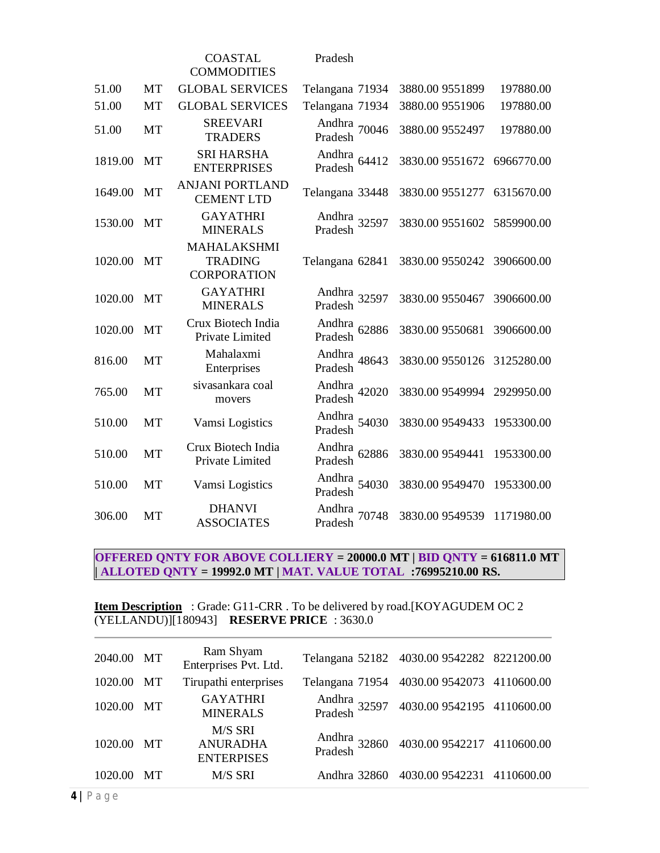|         |           | <b>COASTAL</b><br><b>COMMODITIES</b>                       | Pradesh                    |                 |            |
|---------|-----------|------------------------------------------------------------|----------------------------|-----------------|------------|
| 51.00   | <b>MT</b> | <b>GLOBAL SERVICES</b>                                     | Telangana 71934            | 3880.00 9551899 | 197880.00  |
| 51.00   | <b>MT</b> | <b>GLOBAL SERVICES</b>                                     | Telangana 71934            | 3880.00 9551906 | 197880.00  |
| 51.00   | MT        | <b>SREEVARI</b><br><b>TRADERS</b>                          | Andhra 70046<br>Pradesh    | 3880.00 9552497 | 197880.00  |
| 1819.00 | MT        | <b>SRI HARSHA</b><br><b>ENTERPRISES</b>                    | Andhra<br>64412<br>Pradesh | 3830.00 9551672 | 6966770.00 |
| 1649.00 | MT        | <b>ANJANI PORTLAND</b><br><b>CEMENT LTD</b>                | Telangana 33448            | 3830.00 9551277 | 6315670.00 |
| 1530.00 | MT        | <b>GAYATHRI</b><br><b>MINERALS</b>                         | Andhra<br>Pradesh 32597    | 3830.00 9551602 | 5859900.00 |
| 1020.00 | MT        | <b>MAHALAKSHMI</b><br><b>TRADING</b><br><b>CORPORATION</b> | Telangana 62841            | 3830.00 9550242 | 3906600.00 |
| 1020.00 | MT        | <b>GAYATHRI</b><br><b>MINERALS</b>                         | Andhra<br>Pradesh 32597    | 3830.00 9550467 | 3906600.00 |
| 1020.00 | <b>MT</b> | Crux Biotech India<br>Private Limited                      | Andhra<br>62886<br>Pradesh | 3830.00 9550681 | 3906600.00 |
| 816.00  | MT        | Mahalaxmi<br>Enterprises                                   | Andhra<br>48643<br>Pradesh | 3830.00 9550126 | 3125280.00 |
| 765.00  | <b>MT</b> | sivasankara coal<br>movers                                 | Andhra 42020<br>Pradesh    | 3830.00 9549994 | 2929950.00 |
| 510.00  | MT        | Vamsi Logistics                                            | Andhra 54030<br>Pradesh    | 3830.00 9549433 | 1953300.00 |
| 510.00  | MT        | Crux Biotech India<br>Private Limited                      | Andhra<br>62886<br>Pradesh | 3830.00 9549441 | 1953300.00 |
| 510.00  | MT        | Vamsi Logistics                                            | Andhra 54030<br>Pradesh    | 3830.00 9549470 | 1953300.00 |
| 306.00  | MT        | <b>DHANVI</b><br><b>ASSOCIATES</b>                         | Andhra 70748<br>Pradesh    | 3830.00 9549539 | 1171980.00 |

# **OFFERED QNTY FOR ABOVE COLLIERY = 20000.0 MT | BID QNTY = 616811.0 MT | ALLOTED QNTY = 19992.0 MT | MAT. VALUE TOTAL :76995210.00 RS.**

#### **Item Description** : Grade: G11-CRR . To be delivered by road.[KOYAGUDEM OC 2 (YELLANDU)][180943] **RESERVE PRICE** : 3630.0

| 2040.00 MT |           | Ram Shyam<br>Enterprises Pvt. Ltd.              | Telangana 52182 4030.00 9542282 8221200.00            |  |
|------------|-----------|-------------------------------------------------|-------------------------------------------------------|--|
| 1020.00    | МT        | Tirupathi enterprises                           | Telangana 71954 4030.00 9542073 4110600.00            |  |
| 1020.00    | MT        | <b>GAYATHRI</b><br><b>MINERALS</b>              | Andhra<br>32597 4030.00 9542195 4110600.00<br>Pradesh |  |
| 1020.00    | MT        | M/S SRI<br><b>ANURADHA</b><br><b>ENTERPISES</b> | Andhra 32860 4030.00 9542217 4110600.00<br>Pradesh    |  |
| 1020.00    | <b>MT</b> | M/S SRI                                         | Andhra 32860 4030.00 9542231 4110600.00               |  |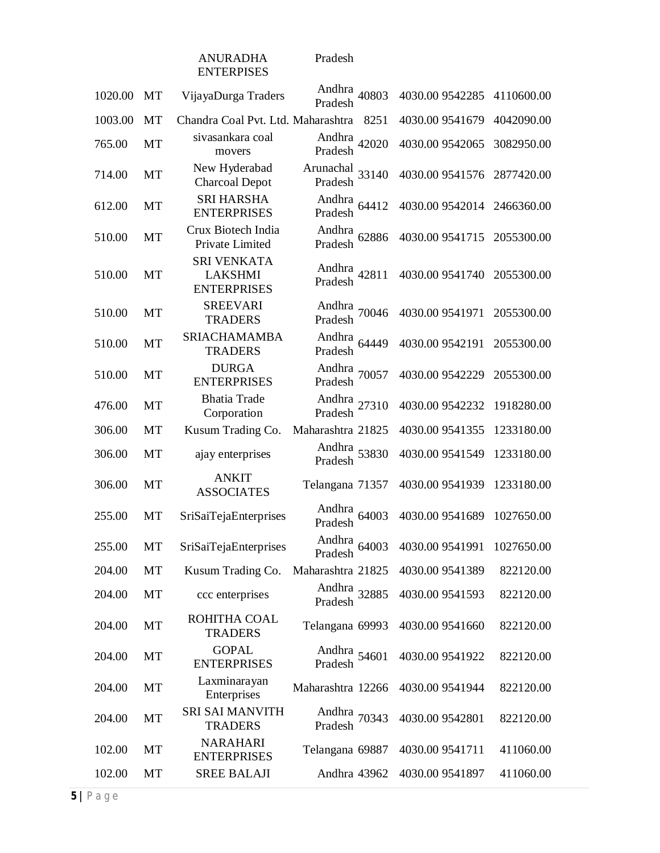#### ANURADHA ENTERPISES

Pradesh

| 1020.00 | MT        | VijayaDurga Traders                                        | Andhra 40803<br>Pradesh            | 4030.00 9542285 | 4110600.00 |
|---------|-----------|------------------------------------------------------------|------------------------------------|-----------------|------------|
| 1003.00 | MT        | Chandra Coal Pvt. Ltd. Maharashtra                         | 8251                               | 4030.00 9541679 | 4042090.00 |
| 765.00  | MT        | sivasankara coal<br>movers                                 | Andhra 42020<br>Pradesh            | 4030.00 9542065 | 3082950.00 |
| 714.00  | MT        | New Hyderabad<br><b>Charcoal Depot</b>                     | Arunachal $33140$<br>Pradesh       | 4030.00 9541576 | 2877420.00 |
| 612.00  | MT        | <b>SRI HARSHA</b><br><b>ENTERPRISES</b>                    | Andhra 64412<br>Pradesh            | 4030.00 9542014 | 2466360.00 |
| 510.00  | MT        | Crux Biotech India<br>Private Limited                      | Andhra 62886<br>Pradesh            | 4030.00 9541715 | 2055300.00 |
| 510.00  | MT        | <b>SRI VENKATA</b><br><b>LAKSHMI</b><br><b>ENTERPRISES</b> | Andhra<br>Pradesh 42811            | 4030.00 9541740 | 2055300.00 |
| 510.00  | <b>MT</b> | <b>SREEVARI</b><br><b>TRADERS</b>                          | Andhra 70046<br>Pradesh            | 4030.00 9541971 | 2055300.00 |
| 510.00  | MT        | <b>SRIACHAMAMBA</b><br><b>TRADERS</b>                      | Andhra<br>Pradesh 64449            | 4030.00 9542191 | 2055300.00 |
| 510.00  | MT        | <b>DURGA</b><br><b>ENTERPRISES</b>                         | Andhra 70057<br>Pradesh            | 4030.00 9542229 | 2055300.00 |
| 476.00  | MT        | <b>Bhatia Trade</b><br>Corporation                         | Andhra<br>Pradesh <sup>27310</sup> | 4030.00 9542232 | 1918280.00 |
| 306.00  | MT        | Kusum Trading Co.                                          | Maharashtra 21825                  | 4030.00 9541355 | 1233180.00 |
| 306.00  | MT        | ajay enterprises                                           | Andhra<br>Pradesh 53830            | 4030.00 9541549 | 1233180.00 |
| 306.00  | MT        | <b>ANKIT</b><br><b>ASSOCIATES</b>                          | Telangana 71357                    | 4030.00 9541939 | 1233180.00 |
| 255.00  | MT        | SriSaiTejaEnterprises                                      | Andhra<br>64003<br>Pradesh         | 4030.00 9541689 | 1027650.00 |
| 255.00  | МT        | SriSaiTejaEnterprises                                      | Andhra<br>64003<br>Pradesh         | 4030.00 9541991 | 1027650.00 |
| 204.00  | <b>MT</b> | Kusum Trading Co.                                          | Maharashtra 21825                  | 4030.00 9541389 | 822120.00  |
| 204.00  | MT        | ccc enterprises                                            | Andhra 32885<br>Pradesh            | 4030.00 9541593 | 822120.00  |
| 204.00  | MT        | ROHITHA COAL<br><b>TRADERS</b>                             | Telangana 69993                    | 4030.00 9541660 | 822120.00  |
| 204.00  | MT        | <b>GOPAL</b><br><b>ENTERPRISES</b>                         | Andhra 54601<br>Pradesh            | 4030.00 9541922 | 822120.00  |
| 204.00  | MT        | Laxminarayan<br>Enterprises                                | Maharashtra 12266                  | 4030.00 9541944 | 822120.00  |
| 204.00  | MT        | <b>SRI SAI MANVITH</b><br><b>TRADERS</b>                   | Andhra 70343<br>Pradesh            | 4030.00 9542801 | 822120.00  |
| 102.00  | МT        | <b>NARAHARI</b><br><b>ENTERPRISES</b>                      | Telangana 69887                    | 4030.00 9541711 | 411060.00  |
| 102.00  | MT        | <b>SREE BALAJI</b>                                         | Andhra 43962                       | 4030.00 9541897 | 411060.00  |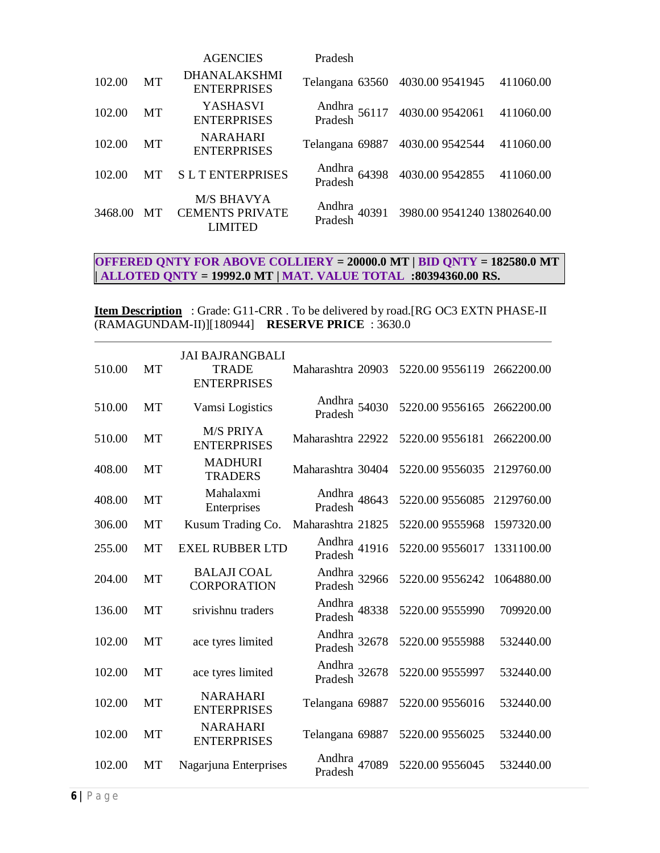|         |           | <b>AGENCIES</b>                                        | Pradesh                         |                                                        |           |
|---------|-----------|--------------------------------------------------------|---------------------------------|--------------------------------------------------------|-----------|
| 102.00  | MT        | <b>DHANALAKSHMI</b><br><b>ENTERPRISES</b>              | Telangana 63560 4030.00 9541945 |                                                        | 411060.00 |
| 102.00  | МT        | <b>YASHASVI</b><br><b>ENTERPRISES</b>                  |                                 | Andhra<br>56117 4030.009542061<br>Pradesh              | 411060.00 |
| 102.00  | MT        | <b>NARAHARI</b><br><b>ENTERPRISES</b>                  | Telangana 69887 4030.00 9542544 |                                                        | 411060.00 |
| 102.00  | <b>MT</b> | <b>SLTENTERPRISES</b>                                  |                                 | Andhra<br>Pradesh 64398 4030.00 9542855                | 411060.00 |
| 3468.00 | <b>MT</b> | M/S BHAVYA<br><b>CEMENTS PRIVATE</b><br><b>LIMITED</b> |                                 | Andhra<br>40391 3980.00 9541240 13802640.00<br>Pradesh |           |

# **OFFERED QNTY FOR ABOVE COLLIERY = 20000.0 MT | BID QNTY = 182580.0 MT | ALLOTED QNTY = 19992.0 MT | MAT. VALUE TOTAL :80394360.00 RS.**

**Item Description** : Grade: G11-CRR . To be delivered by road.[RG OC3 EXTN PHASE-II (RAMAGUNDAM-II)][180944] **RESERVE PRICE** : 3630.0

| 510.00 | MT        | <b>JAI BAJRANGBALI</b><br><b>TRADE</b><br><b>ENTERPRISES</b> | Maharashtra 20903          | 5220.00 9556119 2662200.00 |            |
|--------|-----------|--------------------------------------------------------------|----------------------------|----------------------------|------------|
| 510.00 | <b>MT</b> | Vamsi Logistics                                              | Andhra 54030<br>Pradesh    | 5220.00 9556165 2662200.00 |            |
| 510.00 | <b>MT</b> | <b>M/S PRIYA</b><br><b>ENTERPRISES</b>                       | Maharashtra 22922          | 5220.00 9556181            | 2662200.00 |
| 408.00 | <b>MT</b> | <b>MADHURI</b><br><b>TRADERS</b>                             | Maharashtra 30404          | 5220.00 9556035            | 2129760.00 |
| 408.00 | MT        | Mahalaxmi<br>Enterprises                                     | Andhra 48643<br>Pradesh    | 5220.00 9556085            | 2129760.00 |
| 306.00 | MT        | Kusum Trading Co.                                            | Maharashtra 21825          | 5220.00 9555968            | 1597320.00 |
| 255.00 | <b>MT</b> | <b>EXEL RUBBER LTD</b>                                       | Andhra<br>41916<br>Pradesh | 5220.00 9556017            | 1331100.00 |
| 204.00 | MT        | <b>BALAJI COAL</b><br><b>CORPORATION</b>                     | Andhra 32966<br>Pradesh    | 5220.00 9556242            | 1064880.00 |
| 136.00 | <b>MT</b> | srivishnu traders                                            | Andhra 48338<br>Pradesh    | 5220.00 9555990            | 709920.00  |
| 102.00 | <b>MT</b> | ace tyres limited                                            | Andhra 32678<br>Pradesh    | 5220.00 9555988            | 532440.00  |
| 102.00 | MT        | ace tyres limited                                            | Andhra 32678<br>Pradesh    | 5220.00 9555997            | 532440.00  |
| 102.00 | MT        | <b>NARAHARI</b><br><b>ENTERPRISES</b>                        | Telangana 69887            | 5220.00 9556016            | 532440.00  |
| 102.00 | <b>MT</b> | <b>NARAHARI</b><br><b>ENTERPRISES</b>                        | Telangana 69887            | 5220.00 9556025            | 532440.00  |
| 102.00 | <b>MT</b> | Nagarjuna Enterprises                                        | Andhra<br>47089<br>Pradesh | 5220.00 9556045            | 532440.00  |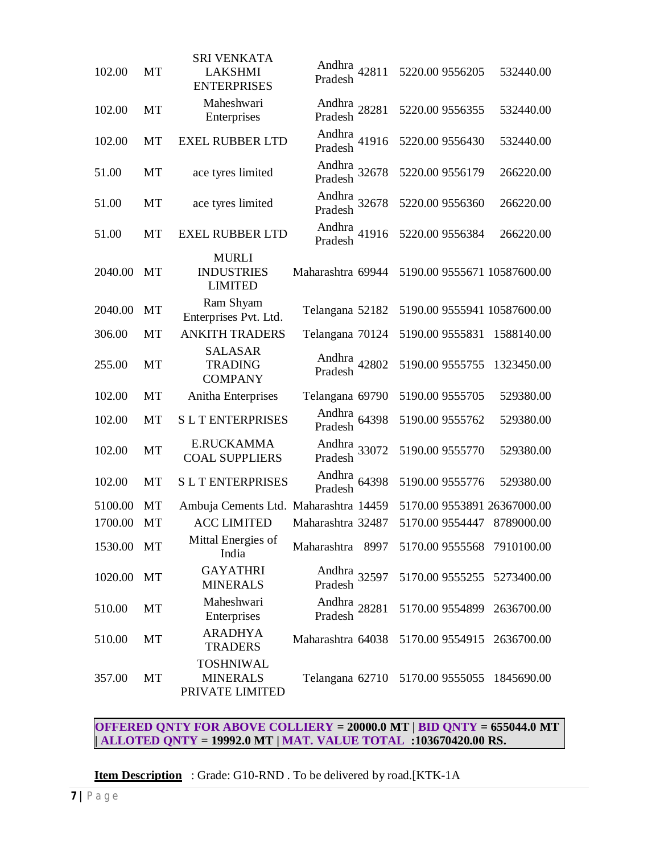| 102.00  | MT | <b>SRI VENKATA</b><br><b>LAKSHMI</b><br><b>ENTERPRISES</b> | Andhra<br>Pradesh 42811 |       | 5220.00 9556205 | 532440.00                   |
|---------|----|------------------------------------------------------------|-------------------------|-------|-----------------|-----------------------------|
| 102.00  | MT | Maheshwari<br>Enterprises                                  | Andhra<br>Pradesh 28281 |       | 5220.00 9556355 | 532440.00                   |
| 102.00  | MT | <b>EXEL RUBBER LTD</b>                                     | Andhra 41916<br>Pradesh |       | 5220.00 9556430 | 532440.00                   |
| 51.00   | MT | ace tyres limited                                          | Andhra 32678<br>Pradesh |       | 5220.00 9556179 | 266220.00                   |
| 51.00   | MT | ace tyres limited                                          | Andhra 32678<br>Pradesh |       | 5220.00 9556360 | 266220.00                   |
| 51.00   | MT | <b>EXEL RUBBER LTD</b>                                     | Andhra 41916<br>Pradesh |       | 5220.00 9556384 | 266220.00                   |
| 2040.00 | MT | <b>MURLI</b><br><b>INDUSTRIES</b><br><b>LIMITED</b>        | Maharashtra 69944       |       |                 | 5190.00 9555671 10587600.00 |
| 2040.00 | MT | Ram Shyam<br>Enterprises Pvt. Ltd.                         | Telangana 52182         |       |                 | 5190.00 9555941 10587600.00 |
| 306.00  | MT | <b>ANKITH TRADERS</b>                                      | Telangana 70124         |       | 5190.00 9555831 | 1588140.00                  |
| 255.00  | MT | <b>SALASAR</b><br><b>TRADING</b><br><b>COMPANY</b>         | Andhra<br>Pradesh 42802 |       | 5190.00 9555755 | 1323450.00                  |
| 102.00  | MT | Anitha Enterprises                                         | Telangana 69790         |       | 5190.00 9555705 | 529380.00                   |
| 102.00  | MT | <b>SLTENTERPRISES</b>                                      | Andhra<br>Pradesh       | 64398 | 5190.00 9555762 | 529380.00                   |
| 102.00  | MT | <b>E.RUCKAMMA</b><br><b>COAL SUPPLIERS</b>                 | Andhra 33072<br>Pradesh |       | 5190.00 9555770 | 529380.00                   |
| 102.00  | MT | <b>SLTENTERPRISES</b>                                      | Andhra<br>Pradesh       | 64398 | 5190.00 9555776 | 529380.00                   |
| 5100.00 | MT | Ambuja Cements Ltd. Maharashtra 14459                      |                         |       |                 | 5170.00 9553891 26367000.00 |
| 1700.00 | MT | <b>ACC LIMITED</b>                                         | Maharashtra 32487       |       | 5170.00 9554447 | 8789000.00                  |
| 1530.00 | MT | Mittal Energies of<br>India                                | Maharashtra 8997        |       |                 | 5170.00 9555568 7910100.00  |
| 1020.00 | MT | <b>GAYATHRI</b><br><b>MINERALS</b>                         | Andhra 32597<br>Pradesh |       |                 | 5170.00 9555255 5273400.00  |
| 510.00  | МT | Maheshwari<br>Enterprises                                  | Andhra 28281<br>Pradesh |       |                 | 5170.00 9554899 2636700.00  |
| 510.00  | MT | <b>ARADHYA</b><br><b>TRADERS</b>                           | Maharashtra 64038       |       |                 | 5170.00 9554915 2636700.00  |
| 357.00  | MT | <b>TOSHNIWAL</b><br><b>MINERALS</b><br>PRIVATE LIMITED     | Telangana 62710         |       |                 | 5170.00 9555055 1845690.00  |

**OFFERED QNTY FOR ABOVE COLLIERY = 20000.0 MT | BID QNTY = 655044.0 MT | ALLOTED QNTY = 19992.0 MT | MAT. VALUE TOTAL :103670420.00 RS.**

**Item Description** : Grade: G10-RND . To be delivered by road.[KTK-1A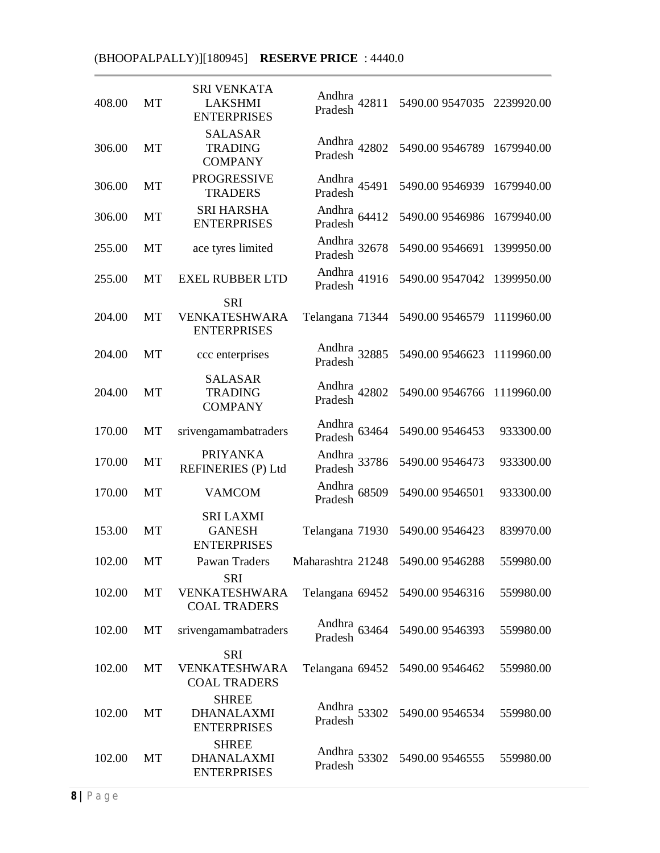# (BHOOPALPALLY)][180945] **RESERVE PRICE** : 4440.0

| 408.00 | MT        | <b>SRI VENKATA</b><br><b>LAKSHMI</b><br><b>ENTERPRISES</b> | Andhra 42811<br>Pradesh | 5490.00 9547035 2239920.00      |            |
|--------|-----------|------------------------------------------------------------|-------------------------|---------------------------------|------------|
| 306.00 | <b>MT</b> | <b>SALASAR</b><br><b>TRADING</b><br><b>COMPANY</b>         | Andhra<br>Pradesh 42802 | 5490.00 9546789                 | 1679940.00 |
| 306.00 | MT        | <b>PROGRESSIVE</b><br><b>TRADERS</b>                       | Andhra<br>Pradesh 45491 | 5490.00 9546939                 | 1679940.00 |
| 306.00 | MT        | <b>SRI HARSHA</b><br><b>ENTERPRISES</b>                    | Andhra 64412<br>Pradesh | 5490.00 9546986                 | 1679940.00 |
| 255.00 | MT        | ace tyres limited                                          | Andhra 32678<br>Pradesh | 5490.00 9546691                 | 1399950.00 |
| 255.00 | MT        | <b>EXEL RUBBER LTD</b>                                     | Andhra<br>Pradesh 41916 | 5490.00 9547042                 | 1399950.00 |
| 204.00 | MT        | <b>SRI</b><br>VENKATESHWARA<br><b>ENTERPRISES</b>          | Telangana 71344         | 5490.00 9546579                 | 1119960.00 |
| 204.00 | MT        | ccc enterprises                                            | Andhra<br>Pradesh 32885 | 5490.00 9546623                 | 1119960.00 |
| 204.00 | MT        | <b>SALASAR</b><br><b>TRADING</b><br><b>COMPANY</b>         | Andhra<br>Pradesh 42802 | 5490.00 9546766                 | 1119960.00 |
| 170.00 | MT        | srivengamambatraders                                       | Andhra<br>Pradesh 63464 | 5490.00 9546453                 | 933300.00  |
| 170.00 | MT        | <b>PRIYANKA</b><br>REFINERIES (P) Ltd                      | Andhra<br>Pradesh 33786 | 5490.00 9546473                 | 933300.00  |
| 170.00 | MT        | <b>VAMCOM</b>                                              | Andhra<br>Pradesh 68509 | 5490.00 9546501                 | 933300.00  |
| 153.00 | MT        | <b>SRI LAXMI</b><br><b>GANESH</b><br><b>ENTERPRISES</b>    | Telangana 71930         | 5490.00 9546423                 | 839970.00  |
| 102.00 | MT        | Pawan Traders                                              | Maharashtra 21248       | 5490.00 9546288                 | 559980.00  |
| 102.00 | MT        | <b>SRI</b><br>VENKATESHWARA<br><b>COAL TRADERS</b>         | Telangana 69452         | 5490.00 9546316                 | 559980.00  |
| 102.00 | MT        | srivengamambatraders                                       | Andhra 63464<br>Pradesh | 5490.00 9546393                 | 559980.00  |
| 102.00 | MT        | <b>SRI</b><br>VENKATESHWARA<br><b>COAL TRADERS</b>         |                         | Telangana 69452 5490.00 9546462 | 559980.00  |
| 102.00 | MT        | <b>SHREE</b><br><b>DHANALAXMI</b><br><b>ENTERPRISES</b>    | Andhra 53302<br>Pradesh | 5490.00 9546534                 | 559980.00  |
| 102.00 | MT        | <b>SHREE</b><br><b>DHANALAXMI</b><br><b>ENTERPRISES</b>    | Andhra 53302<br>Pradesh | 5490.00 9546555                 | 559980.00  |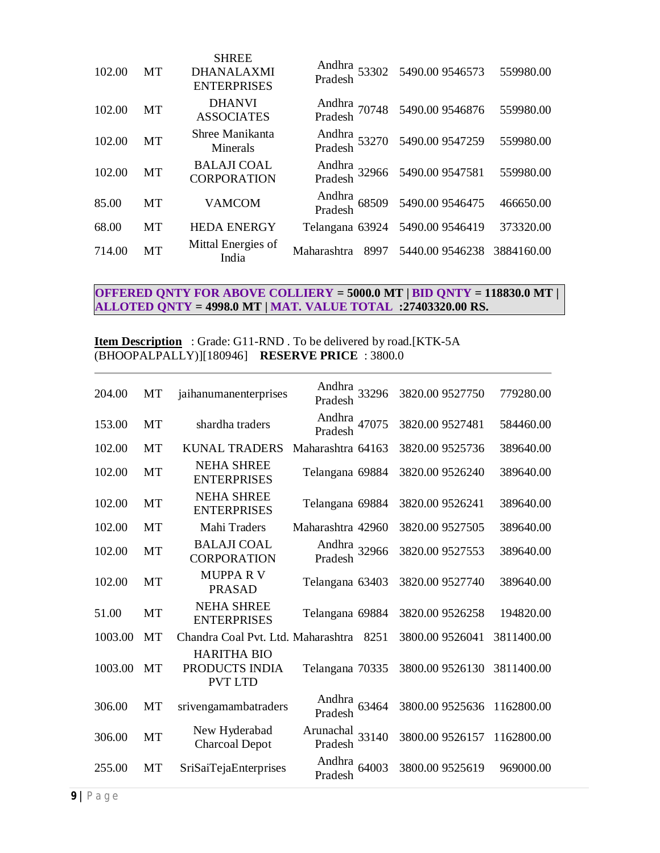| 102.00 | MT        | <b>SHREE</b><br><b>DHANALAXMI</b><br><b>ENTERPRISES</b> |                                 | Andhra<br>53302 5490.009546573<br>Pradesh | 559980.00  |
|--------|-----------|---------------------------------------------------------|---------------------------------|-------------------------------------------|------------|
| 102.00 | MT        | <b>DHANVI</b><br><b>ASSOCIATES</b>                      |                                 | Andhra<br>70748 5490.009546876<br>Pradesh | 559980.00  |
| 102.00 | <b>MT</b> | Shree Manikanta<br>Minerals                             |                                 | Andhra<br>53270 5490.009547259<br>Pradesh | 559980.00  |
| 102.00 | <b>MT</b> | <b>BALAJI COAL</b><br><b>CORPORATION</b>                |                                 | Andhra 32966 5490.00 9547581<br>Pradesh   | 559980.00  |
| 85.00  | MT        | <b>VAMCOM</b>                                           |                                 | Andhra<br>Pradesh 68509 5490.00 9546475   | 466650.00  |
| 68.00  | MT        | <b>HEDA ENERGY</b>                                      | Telangana 63924 5490.00 9546419 |                                           | 373320.00  |
| 714.00 | MT        | Mittal Energies of<br>India                             | 8997<br>Maharashtra             | 5440.00 9546238                           | 3884160.00 |

## **OFFERED QNTY FOR ABOVE COLLIERY = 5000.0 MT | BID QNTY = 118830.0 MT | ALLOTED QNTY = 4998.0 MT | MAT. VALUE TOTAL :27403320.00 RS.**

**Item Description** : Grade: G11-RND. To be delivered by road.[KTK-5A (BHOOPALPALLY)][180946] **RESERVE PRICE** : 3800.0

| 204.00  | МT        | jaihanumanenterprises                                  | Andhra 33296<br>Pradesh       | 3820.00 9527750 | 779280.00  |
|---------|-----------|--------------------------------------------------------|-------------------------------|-----------------|------------|
| 153.00  | <b>MT</b> | shardha traders                                        | Andhra<br>Pradesh 47075       | 3820.00 9527481 | 584460.00  |
| 102.00  | MT        | <b>KUNAL TRADERS</b>                                   | Maharashtra 64163             | 3820.00 9525736 | 389640.00  |
| 102.00  | MT        | <b>NEHA SHREE</b><br><b>ENTERPRISES</b>                | Telangana 69884               | 3820.00 9526240 | 389640.00  |
| 102.00  | MT        | <b>NEHA SHREE</b><br><b>ENTERPRISES</b>                | Telangana 69884               | 3820.00 9526241 | 389640.00  |
| 102.00  | <b>MT</b> | Mahi Traders                                           | Maharashtra 42960             | 3820.00 9527505 | 389640.00  |
| 102.00  | MT        | <b>BALAJI COAL</b><br><b>CORPORATION</b>               | Andhra 32966<br>Pradesh       | 3820.00 9527553 | 389640.00  |
| 102.00  | <b>MT</b> | <b>MUPPARV</b><br><b>PRASAD</b>                        | Telangana 63403               | 3820.00 9527740 | 389640.00  |
| 51.00   | <b>MT</b> | <b>NEHA SHREE</b><br><b>ENTERPRISES</b>                | Telangana 69884               | 3820.00 9526258 | 194820.00  |
| 1003.00 | <b>MT</b> | Chandra Coal Pvt. Ltd. Maharashtra                     | 8251                          | 3800.00 9526041 | 3811400.00 |
| 1003.00 | <b>MT</b> | <b>HARITHA BIO</b><br>PRODUCTS INDIA<br><b>PVT LTD</b> | Telangana 70335               | 3800.00 9526130 | 3811400.00 |
| 306.00  | MT        | srivengamambatraders                                   | Andhra<br>63464<br>Pradesh    | 3800.00 9525636 | 1162800.00 |
| 306.00  | <b>MT</b> | New Hyderabad<br><b>Charcoal Depot</b>                 | Arunachal<br>33140<br>Pradesh | 3800.00 9526157 | 1162800.00 |
| 255.00  | MT        | SriSaiTejaEnterprises                                  | Andhra<br>64003<br>Pradesh    | 3800.00 9525619 | 969000.00  |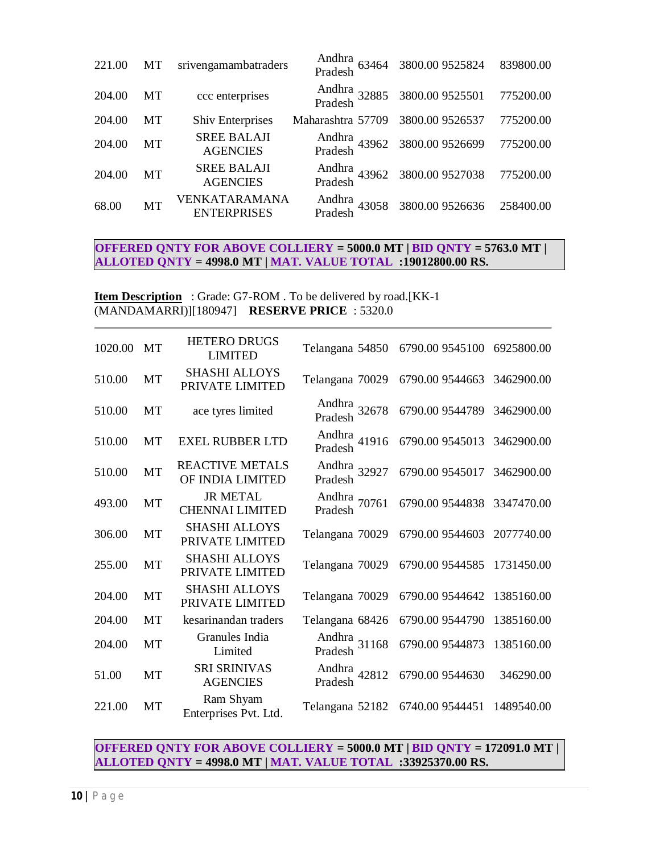| 221.00 | MT        | srivengamambatraders                  |                   | Andhra<br>Pradesh 63464 3800.00 9525824   | 839800.00 |
|--------|-----------|---------------------------------------|-------------------|-------------------------------------------|-----------|
| 204.00 | МT        | ccc enterprises                       |                   | Andhra<br>32885 3800.009525501<br>Pradesh | 775200.00 |
| 204.00 | MT        | <b>Shiv Enterprises</b>               | Maharashtra 57709 | 3800.00 9526537                           | 775200.00 |
| 204.00 | MT        | <b>SREE BALAJI</b><br><b>AGENCIES</b> |                   | Andhra<br>43962 3800.009526699<br>Pradesh | 775200.00 |
| 204.00 | MT        | <b>SREE BALAJI</b><br><b>AGENCIES</b> |                   | Andhra<br>Pradesh<br>43962 3800.009527038 | 775200.00 |
| 68.00  | <b>MT</b> | VENKATARAMANA<br><b>ENTERPRISES</b>   |                   | Andhra<br>43058 3800.009526636<br>Pradesh | 258400.00 |

### **OFFERED QNTY FOR ABOVE COLLIERY = 5000.0 MT | BID QNTY = 5763.0 MT | ALLOTED QNTY = 4998.0 MT | MAT. VALUE TOTAL :19012800.00 RS.**

**Item Description** : Grade: G7-ROM . To be delivered by road.[KK-1] (MANDAMARRI)][180947] **RESERVE PRICE** : 5320.0

| 1020.00 | <b>MT</b> | <b>HETERO DRUGS</b><br><b>LIMITED</b>      | Telangana 54850         | 6790.00 9545100 6925800.00 |            |
|---------|-----------|--------------------------------------------|-------------------------|----------------------------|------------|
| 510.00  | MT        | <b>SHASHI ALLOYS</b><br>PRIVATE LIMITED    | Telangana 70029         | 6790.00 9544663            | 3462900.00 |
| 510.00  | MT        | ace tyres limited                          | Andhra 32678<br>Pradesh | 6790.00 9544789            | 3462900.00 |
| 510.00  | <b>MT</b> | <b>EXEL RUBBER LTD</b>                     | Andhra<br>Pradesh 41916 | 6790.00 9545013            | 3462900.00 |
| 510.00  | MT        | <b>REACTIVE METALS</b><br>OF INDIA LIMITED | Andhra 32927<br>Pradesh | 6790.00 9545017            | 3462900.00 |
| 493.00  | MT        | <b>JR METAL</b><br><b>CHENNAI LIMITED</b>  | Andhra 70761<br>Pradesh | 6790.00 9544838            | 3347470.00 |
| 306.00  | MT        | <b>SHASHI ALLOYS</b><br>PRIVATE LIMITED    | Telangana 70029         | 6790.00 9544603            | 2077740.00 |
| 255.00  | MT        | <b>SHASHI ALLOYS</b><br>PRIVATE LIMITED    | Telangana 70029         | 6790.00 9544585            | 1731450.00 |
| 204.00  | MT        | <b>SHASHI ALLOYS</b><br>PRIVATE LIMITED    | Telangana 70029         | 6790.00 9544642            | 1385160.00 |
| 204.00  | <b>MT</b> | kesarinandan traders                       | Telangana 68426         | 6790.00 9544790            | 1385160.00 |
| 204.00  | MT        | Granules India<br>Limited                  | Andhra 31168<br>Pradesh | 6790.00 9544873            | 1385160.00 |
| 51.00   | MT        | SRI SRINIVAS<br><b>AGENCIES</b>            | Andhra 42812<br>Pradesh | 6790.00 9544630            | 346290.00  |
| 221.00  | МT        | Ram Shyam<br>Enterprises Pvt. Ltd.         | Telangana 52182         | 6740.00 9544451            | 1489540.00 |

**OFFERED QNTY FOR ABOVE COLLIERY = 5000.0 MT | BID QNTY = 172091.0 MT | ALLOTED QNTY = 4998.0 MT | MAT. VALUE TOTAL :33925370.00 RS.**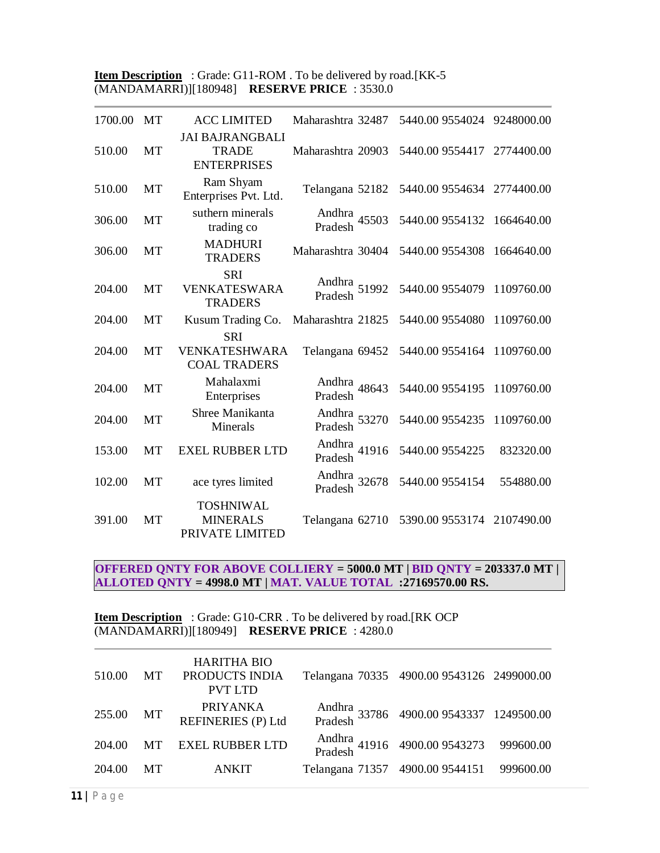**Item Description** : Grade: G11-ROM . To be delivered by road.[KK-5] (MANDAMARRI)][180948] **RESERVE PRICE** : 3530.0

| 1700.00 | <b>MT</b> | <b>ACC LIMITED</b>                                           | Maharashtra 32487          | 5440.00 9554024 9248000.00 |            |
|---------|-----------|--------------------------------------------------------------|----------------------------|----------------------------|------------|
| 510.00  | MT        | <b>JAI BAJRANGBALI</b><br><b>TRADE</b><br><b>ENTERPRISES</b> | Maharashtra 20903          | 5440.00 9554417            | 2774400.00 |
| 510.00  | MT        | Ram Shyam<br>Enterprises Pvt. Ltd.                           | Telangana 52182            | 5440.00 9554634 2774400.00 |            |
| 306.00  | MT        | suthern minerals<br>trading co                               | Andhra 45503<br>Pradesh    | 5440.00 9554132            | 1664640.00 |
| 306.00  | <b>MT</b> | <b>MADHURI</b><br><b>TRADERS</b>                             | Maharashtra 30404          | 5440.00 9554308            | 1664640.00 |
| 204.00  | MT        | <b>SRI</b><br>VENKATESWARA<br><b>TRADERS</b>                 | Andhra 51992<br>Pradesh    | 5440.00 9554079            | 1109760.00 |
| 204.00  | MT        | Kusum Trading Co.                                            | Maharashtra 21825          | 5440.00 9554080            | 1109760.00 |
| 204.00  | <b>MT</b> | <b>SRI</b><br><b>VENKATESHWARA</b><br><b>COAL TRADERS</b>    | Telangana 69452            | 5440.00 9554164            | 1109760.00 |
| 204.00  | MT        | Mahalaxmi<br>Enterprises                                     | Andhra 48643<br>Pradesh    | 5440.00 9554195            | 1109760.00 |
| 204.00  | MT        | Shree Manikanta<br><b>Minerals</b>                           | Andhra 53270<br>Pradesh    | 5440.00 9554235            | 1109760.00 |
| 153.00  | <b>MT</b> | <b>EXEL RUBBER LTD</b>                                       | Andhra<br>41916<br>Pradesh | 5440.00 9554225            | 832320.00  |
| 102.00  | MT        | ace tyres limited                                            | Andhra 32678<br>Pradesh    | 5440.00 9554154            | 554880.00  |
| 391.00  | MT        | <b>TOSHNIWAL</b><br><b>MINERALS</b><br>PRIVATE LIMITED       | Telangana 62710            | 5390.00 9553174 2107490.00 |            |

**OFFERED QNTY FOR ABOVE COLLIERY = 5000.0 MT | BID QNTY = 203337.0 MT | ALLOTED QNTY = 4998.0 MT | MAT. VALUE TOTAL :27169570.00 RS.**

**Item Description** : Grade: G10-CRR . To be delivered by road.[RK OCP (MANDAMARRI)][180949] **RESERVE PRICE** : 4280.0

| 510.00 | <b>MT</b> | <b>HARITHA BIO</b><br>PRODUCTS INDIA<br><b>PVT LTD</b> | Telangana 70335 4900.00 9543126 2499000.00         |  |
|--------|-----------|--------------------------------------------------------|----------------------------------------------------|--|
| 255.00 | MT        | <b>PRIYANKA</b><br><b>REFINERIES (P) Ltd</b>           | Andhra<br>Pradesh 33786 4900.00 9543337 1249500.00 |  |
| 204.00 | <b>MT</b> | <b>EXEL RUBBER LTD</b>                                 | Andhra<br>Pradesh 41916 4900.00 9543273 999600.00  |  |
| 204.00 | <b>MT</b> | <b>ANKIT</b>                                           | Telangana 71357 4900.00 9544151 999600.00          |  |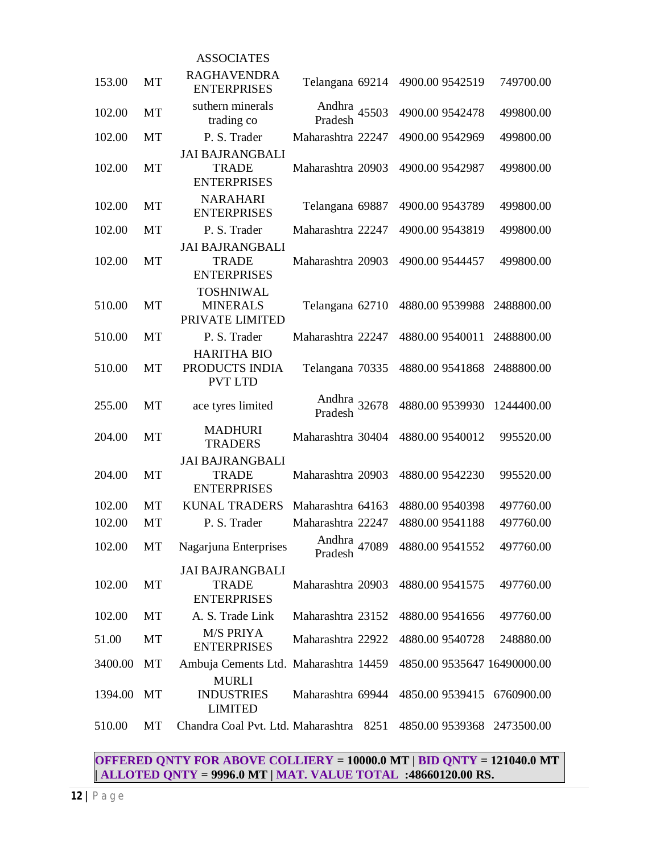|         |           | <b>ASSOCIATES</b>                                            |                         |                             |            |
|---------|-----------|--------------------------------------------------------------|-------------------------|-----------------------------|------------|
| 153.00  | MT        | <b>RAGHAVENDRA</b><br><b>ENTERPRISES</b>                     | Telangana 69214         | 4900.00 9542519             | 749700.00  |
| 102.00  | MT        | suthern minerals<br>trading co                               | Andhra 45503<br>Pradesh | 4900.00 9542478             | 499800.00  |
| 102.00  | MT        | P. S. Trader                                                 | Maharashtra 22247       | 4900.00 9542969             | 499800.00  |
| 102.00  | MT        | <b>JAI BAJRANGBALI</b><br><b>TRADE</b><br><b>ENTERPRISES</b> | Maharashtra 20903       | 4900.00 9542987             | 499800.00  |
| 102.00  | MT        | <b>NARAHARI</b><br><b>ENTERPRISES</b>                        | Telangana 69887         | 4900.00 9543789             | 499800.00  |
| 102.00  | MT        | P. S. Trader                                                 | Maharashtra 22247       | 4900.00 9543819             | 499800.00  |
|         |           | <b>JAI BAJRANGBALI</b>                                       |                         |                             |            |
| 102.00  | MT        | <b>TRADE</b><br><b>ENTERPRISES</b>                           | Maharashtra 20903       | 4900.00 9544457             | 499800.00  |
| 510.00  | MT        | <b>TOSHNIWAL</b><br><b>MINERALS</b><br>PRIVATE LIMITED       | Telangana 62710         | 4880.00 9539988             | 2488800.00 |
| 510.00  | MT        | P. S. Trader                                                 | Maharashtra 22247       | 4880.00 9540011             | 2488800.00 |
| 510.00  | MT        | <b>HARITHA BIO</b><br>PRODUCTS INDIA<br><b>PVT LTD</b>       | Telangana 70335         | 4880.00 9541868             | 2488800.00 |
| 255.00  | MT        | ace tyres limited                                            | Andhra 32678<br>Pradesh | 4880.00 9539930             | 1244400.00 |
| 204.00  | MT        | <b>MADHURI</b><br><b>TRADERS</b>                             | Maharashtra 30404       | 4880.00 9540012             | 995520.00  |
| 204.00  | MT        | <b>JAI BAJRANGBALI</b><br><b>TRADE</b><br><b>ENTERPRISES</b> | Maharashtra 20903       | 4880.00 9542230             | 995520.00  |
| 102.00  | MT        | <b>KUNAL TRADERS</b>                                         | Maharashtra 64163       | 4880.00 9540398             | 497760.00  |
| 102.00  | <b>MT</b> | P. S. Trader                                                 | Maharashtra 22247       | 4880.00 9541188             | 497760.00  |
| 102.00  | MT        | Nagarjuna Enterprises                                        | Andhra 47089<br>Pradesh | 4880.00 9541552             | 497760.00  |
| 102.00  | MT        | <b>JAI BAJRANGBALI</b><br><b>TRADE</b><br><b>ENTERPRISES</b> | Maharashtra 20903       | 4880.00 9541575             | 497760.00  |
| 102.00  | MT        | A. S. Trade Link                                             | Maharashtra 23152       | 4880.00 9541656             | 497760.00  |
| 51.00   | MT        | <b>M/S PRIYA</b><br><b>ENTERPRISES</b>                       | Maharashtra 22922       | 4880.00 9540728             | 248880.00  |
| 3400.00 | MT        | Ambuja Cements Ltd. Maharashtra 14459                        |                         | 4850.00 9535647 16490000.00 |            |
| 1394.00 | MT        | <b>MURLI</b><br><b>INDUSTRIES</b><br><b>LIMITED</b>          | Maharashtra 69944       | 4850.00 9539415             | 6760900.00 |
| 510.00  | МT        | Chandra Coal Pvt. Ltd. Maharashtra 8251                      |                         | 4850.00 9539368 2473500.00  |            |
|         |           |                                                              |                         |                             |            |

### **OFFERED QNTY FOR ABOVE COLLIERY = 10000.0 MT | BID QNTY = 121040.0 MT | ALLOTED QNTY = 9996.0 MT | MAT. VALUE TOTAL :48660120.00 RS.**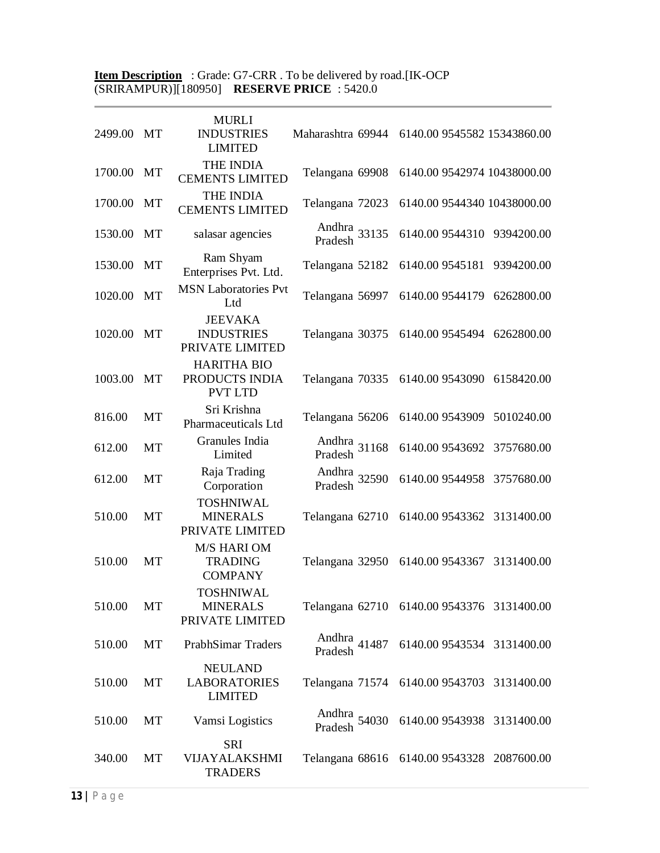#### **Item Description** : Grade: G7-CRR . To be delivered by road.[IK-OCP (SRIRAMPUR)][180950] **RESERVE PRICE** : 5420.0

| 2499.00 | MT | <b>MURLI</b><br><b>INDUSTRIES</b><br><b>LIMITED</b>     | Maharashtra 69944       | 6140.00 9545582 15343860.00                |            |
|---------|----|---------------------------------------------------------|-------------------------|--------------------------------------------|------------|
| 1700.00 | MT | THE INDIA<br><b>CEMENTS LIMITED</b>                     | Telangana 69908         | 6140.00 9542974 10438000.00                |            |
| 1700.00 | MT | <b>THE INDIA</b><br><b>CEMENTS LIMITED</b>              | Telangana 72023         | 6140.00 9544340 10438000.00                |            |
| 1530.00 | MT | salasar agencies                                        | Andhra 33135<br>Pradesh | 6140.00 9544310                            | 9394200.00 |
| 1530.00 | MT | Ram Shyam<br>Enterprises Pvt. Ltd.                      | Telangana 52182         | 6140.00 9545181                            | 9394200.00 |
| 1020.00 | MT | <b>MSN Laboratories Pvt</b><br>Ltd                      | Telangana 56997         | 6140.00 9544179                            | 6262800.00 |
| 1020.00 | MT | <b>JEEVAKA</b><br><b>INDUSTRIES</b><br>PRIVATE LIMITED  | Telangana 30375         | 6140.00 9545494                            | 6262800.00 |
| 1003.00 | MT | <b>HARITHA BIO</b><br>PRODUCTS INDIA<br><b>PVT LTD</b>  | Telangana 70335         | 6140.00 9543090                            | 6158420.00 |
| 816.00  | MT | Sri Krishna<br>Pharmaceuticals Ltd                      | Telangana 56206         | 6140.00 9543909                            | 5010240.00 |
| 612.00  | MT | Granules India<br>Limited                               | Andhra 31168<br>Pradesh | 6140.00 9543692                            | 3757680.00 |
| 612.00  | MT | Raja Trading<br>Corporation                             | Andhra 32590<br>Pradesh | 6140.00 9544958                            | 3757680.00 |
| 510.00  | MT | <b>TOSHNIWAL</b><br><b>MINERALS</b><br>PRIVATE LIMITED  | Telangana 62710         | 6140.00 9543362 3131400.00                 |            |
| 510.00  | MT | <b>M/S HARI OM</b><br><b>TRADING</b><br><b>COMPANY</b>  | Telangana 32950         | 6140.00 9543367 3131400.00                 |            |
| 510.00  | MT | <b>TOSHNIWAL</b><br><b>MINERALS</b><br>PRIVATE LIMITED  |                         | Telangana 62710 6140.00 9543376 3131400.00 |            |
| 510.00  | MT | PrabhSimar Traders                                      | Andhra 41487<br>Pradesh | 6140.00 9543534 3131400.00                 |            |
| 510.00  | MT | <b>NEULAND</b><br><b>LABORATORIES</b><br><b>LIMITED</b> |                         | Telangana 71574 6140.00 9543703 3131400.00 |            |
| 510.00  | MT | Vamsi Logistics                                         | Andhra 54030<br>Pradesh | 6140.00 9543938 3131400.00                 |            |
| 340.00  | MT | SRI<br>VIJAYALAKSHMI<br><b>TRADERS</b>                  |                         | Telangana 68616 6140.00 9543328 2087600.00 |            |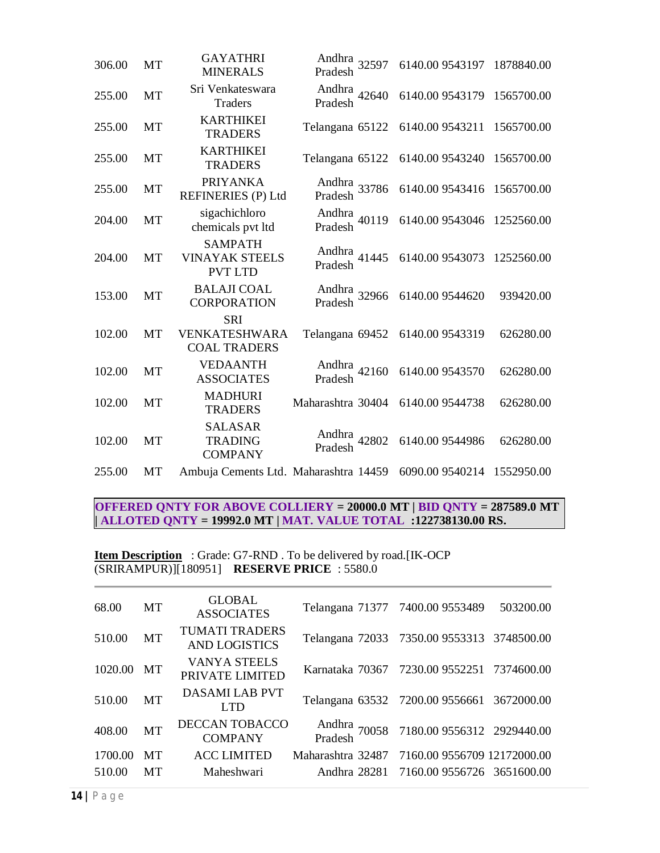| 306.00 | MT        | <b>GAYATHRI</b><br><b>MINERALS</b>                        | Andhra 32597<br>Pradesh | 6140.00 9543197 1878840.00 |            |
|--------|-----------|-----------------------------------------------------------|-------------------------|----------------------------|------------|
| 255.00 | MT        | Sri Venkateswara<br><b>Traders</b>                        | Andhra 42640<br>Pradesh | 6140.00 9543179 1565700.00 |            |
| 255.00 | MT        | <b>KARTHIKEI</b><br><b>TRADERS</b>                        | Telangana 65122         | 6140.00 9543211 1565700.00 |            |
| 255.00 | <b>MT</b> | <b>KARTHIKEI</b><br><b>TRADERS</b>                        | Telangana 65122         | 6140.00 9543240            | 1565700.00 |
| 255.00 | MT        | <b>PRIYANKA</b><br><b>REFINERIES (P) Ltd</b>              | Andhra 33786<br>Pradesh | 6140.00 9543416            | 1565700.00 |
| 204.00 | MT        | sigachichloro<br>chemicals pvt ltd                        | Andhra 40119<br>Pradesh | 6140.00 9543046            | 1252560.00 |
| 204.00 | MT        | <b>SAMPATH</b><br><b>VINAYAK STEELS</b><br><b>PVT LTD</b> | Andhra<br>Pradesh 41445 | 6140.00 9543073            | 1252560.00 |
| 153.00 | MT        | <b>BALAJI COAL</b><br><b>CORPORATION</b>                  | Andhra<br>Pradesh 32966 | 6140.00 9544620            | 939420.00  |
| 102.00 | <b>MT</b> | <b>SRI</b><br>VENKATESHWARA<br><b>COAL TRADERS</b>        | Telangana 69452         | 6140.00 9543319            | 626280.00  |
| 102.00 | MT        | <b>VEDAANTH</b><br><b>ASSOCIATES</b>                      | Andhra 42160<br>Pradesh | 6140.00 9543570            | 626280.00  |
| 102.00 | MT        | <b>MADHURI</b><br><b>TRADERS</b>                          | Maharashtra 30404       | 6140.00 9544738            | 626280.00  |
| 102.00 | <b>MT</b> | <b>SALASAR</b><br><b>TRADING</b><br><b>COMPANY</b>        | Andhra<br>Pradesh 42802 | 6140.00 9544986            | 626280.00  |
| 255.00 | MT        | Ambuja Cements Ltd. Maharashtra 14459                     |                         | 6090.00 9540214            | 1552950.00 |

**OFFERED QNTY FOR ABOVE COLLIERY = 20000.0 MT | BID QNTY = 287589.0 MT | ALLOTED QNTY = 19992.0 MT | MAT. VALUE TOTAL :122738130.00 RS.**

**Item Description** : Grade: G7-RND. To be delivered by road.[IK-OCP (SRIRAMPUR)][180951] **RESERVE PRICE** : 5580.0

| 68.00   | MT        | <b>GLOBAL</b><br><b>ASSOCIATES</b>            | Telangana 71377 7400.00 9553489               |                                                    | 503200.00 |
|---------|-----------|-----------------------------------------------|-----------------------------------------------|----------------------------------------------------|-----------|
| 510.00  | MT        | <b>TUMATI TRADERS</b><br><b>AND LOGISTICS</b> |                                               | Telangana 72033 7350.00 9553313 3748500.00         |           |
| 1020.00 | MT        | <b>VANYA STEELS</b><br>PRIVATE LIMITED        |                                               | Karnataka 70367 7230.00 9552251 7374600.00         |           |
| 510.00  | MT        | DASAMI LAB PVT<br>LTD.                        |                                               | Telangana 63532 7200.00 9556661 3672000.00         |           |
| 408.00  | <b>MT</b> | DECCAN TOBACCO<br><b>COMPANY</b>              |                                               | Andhra 70058 7180.00 9556312 2929440.00<br>Pradesh |           |
| 1700.00 | MТ        | <b>ACC LIMITED</b>                            | Maharashtra 32487 7160.00 9556709 12172000.00 |                                                    |           |
| 510.00  | MТ        | Maheshwari                                    |                                               | Andhra 28281 7160.00 9556726 3651600.00            |           |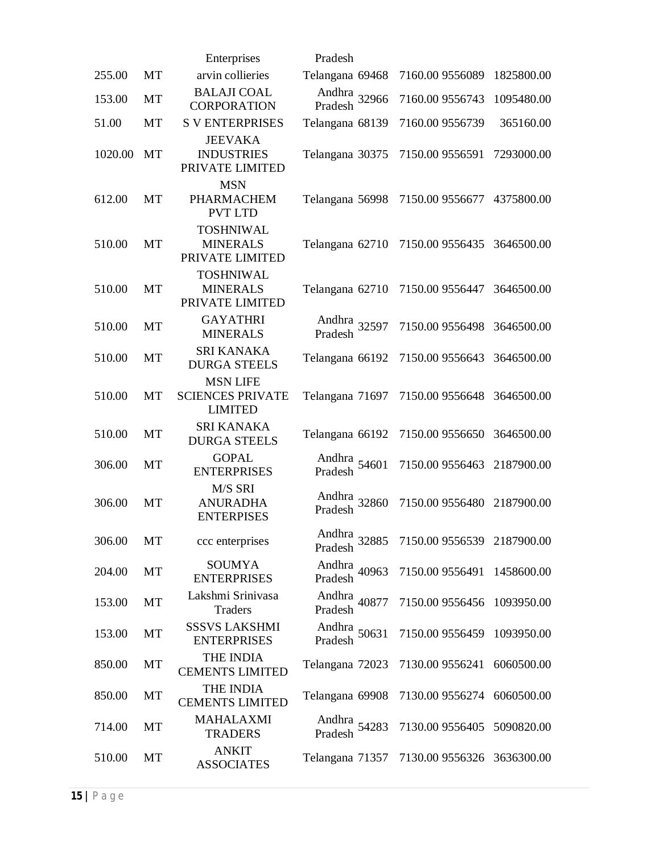|         |    | Enterprises                                                  | Pradesh                            |                            |            |
|---------|----|--------------------------------------------------------------|------------------------------------|----------------------------|------------|
| 255.00  | MT | arvin collieries                                             | Telangana 69468                    | 7160.00 9556089            | 1825800.00 |
| 153.00  | MT | <b>BALAJI COAL</b><br><b>CORPORATION</b>                     | Andhra 32966<br>Pradesh            | 7160.00 9556743            | 1095480.00 |
| 51.00   | MT | <b>S V ENTERPRISES</b>                                       | Telangana 68139                    | 7160.00 9556739            | 365160.00  |
| 1020.00 | MT | <b>JEEVAKA</b><br><b>INDUSTRIES</b><br>PRIVATE LIMITED       | Telangana 30375                    | 7150.00 9556591            | 7293000.00 |
| 612.00  | MT | <b>MSN</b><br>PHARMACHEM<br><b>PVT LTD</b>                   | Telangana 56998                    | 7150.00 9556677            | 4375800.00 |
| 510.00  | MT | <b>TOSHNIWAL</b><br><b>MINERALS</b><br>PRIVATE LIMITED       | Telangana 62710                    | 7150.00 9556435 3646500.00 |            |
| 510.00  | MT | <b>TOSHNIWAL</b><br><b>MINERALS</b><br>PRIVATE LIMITED       | Telangana 62710                    | 7150.00 9556447            | 3646500.00 |
| 510.00  | MT | <b>GAYATHRI</b><br><b>MINERALS</b>                           | Andhra 32597<br>Pradesh            | 7150.00 9556498            | 3646500.00 |
| 510.00  | MT | <b>SRI KANAKA</b><br><b>DURGA STEELS</b>                     | Telangana 66192                    | 7150.00 9556643            | 3646500.00 |
| 510.00  | MT | <b>MSN LIFE</b><br><b>SCIENCES PRIVATE</b><br><b>LIMITED</b> | Telangana 71697                    | 7150.00 9556648 3646500.00 |            |
| 510.00  | MT | <b>SRI KANAKA</b><br><b>DURGA STEELS</b>                     | Telangana 66192                    | 7150.00 9556650            | 3646500.00 |
| 306.00  | MT | <b>GOPAL</b><br><b>ENTERPRISES</b>                           | Andhra<br>Pradesh 54601            | 7150.00 9556463            | 2187900.00 |
| 306.00  | MT | M/S SRI<br><b>ANURADHA</b><br><b>ENTERPISES</b>              | Andhra 32860<br>Pradesh            | 7150.00 9556480            | 2187900.00 |
| 306.00  | MT | ccc enterprises                                              | Andhra<br>32885<br>Pradesh         | 7150.00 9556539 2187900.00 |            |
| 204.00  | MT | SOUMYA<br><b>ENTERPRISES</b>                                 | Andhra <sub>40963</sub><br>Pradesh | 7150.00 9556491            | 1458600.00 |
| 153.00  | MT | Lakshmi Srinivasa<br>Traders                                 | Andhra 40877<br>Pradesh            | 7150.00 9556456            | 1093950.00 |
| 153.00  | МT | <b>SSSVS LAKSHMI</b><br><b>ENTERPRISES</b>                   | Andhra $50631$<br>Pradesh          | 7150.00 9556459            | 1093950.00 |
| 850.00  | MT | THE INDIA<br><b>CEMENTS LIMITED</b>                          | Telangana 72023                    | 7130.00 9556241            | 6060500.00 |
| 850.00  | МT | THE INDIA<br><b>CEMENTS LIMITED</b>                          | Telangana 69908                    | 7130.00 9556274 6060500.00 |            |
| 714.00  | MT | <b>MAHALAXMI</b><br><b>TRADERS</b>                           | Andhra 54283<br>Pradesh            | 7130.00 9556405 5090820.00 |            |
| 510.00  | MT | <b>ANKIT</b><br><b>ASSOCIATES</b>                            | Telangana 71357                    | 7130.00 9556326 3636300.00 |            |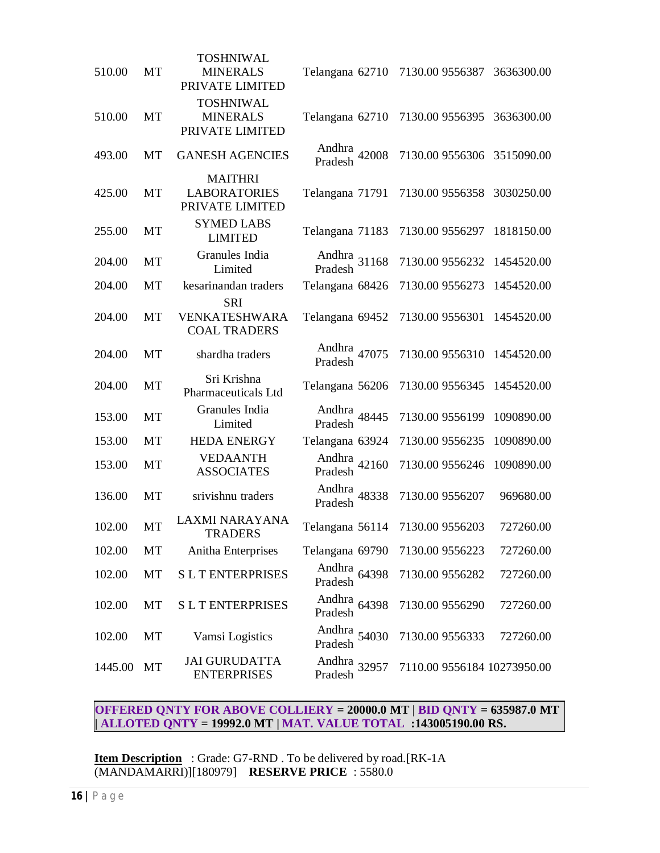| 510.00  | MT        | <b>TOSHNIWAL</b><br><b>MINERALS</b><br>PRIVATE LIMITED   | Telangana 62710         | 7130.00 9556387             | 3636300.00 |
|---------|-----------|----------------------------------------------------------|-------------------------|-----------------------------|------------|
| 510.00  | MT        | <b>TOSHNIWAL</b><br><b>MINERALS</b><br>PRIVATE LIMITED   | Telangana 62710         | 7130.00 9556395             | 3636300.00 |
| 493.00  | MT        | <b>GANESH AGENCIES</b>                                   | Andhra 42008<br>Pradesh | 7130.00 9556306             | 3515090.00 |
| 425.00  | MT        | <b>MAITHRI</b><br><b>LABORATORIES</b><br>PRIVATE LIMITED | Telangana 71791         | 7130.00 9556358 3030250.00  |            |
| 255.00  | MT        | <b>SYMED LABS</b><br><b>LIMITED</b>                      | Telangana 71183         | 7130.00 9556297             | 1818150.00 |
| 204.00  | MT        | Granules India<br>Limited                                | Andhra 31168<br>Pradesh | 7130.00 9556232             | 1454520.00 |
| 204.00  | <b>MT</b> | kesarinandan traders                                     | Telangana 68426         | 7130.00 9556273             | 1454520.00 |
| 204.00  | MT        | <b>SRI</b><br>VENKATESHWARA<br><b>COAL TRADERS</b>       | Telangana 69452         | 7130.00 9556301             | 1454520.00 |
| 204.00  | MT        | shardha traders                                          | Andhra<br>Pradesh 47075 | 7130.00 9556310             | 1454520.00 |
| 204.00  | MT        | Sri Krishna<br>Pharmaceuticals Ltd                       | Telangana 56206         | 7130.00 9556345             | 1454520.00 |
| 153.00  | MT        | Granules India<br>Limited                                | Andhra 48445<br>Pradesh | 7130.00 9556199             | 1090890.00 |
| 153.00  | <b>MT</b> | <b>HEDA ENERGY</b>                                       | Telangana 63924         | 7130.00 9556235             | 1090890.00 |
| 153.00  | MT        | <b>VEDAANTH</b><br><b>ASSOCIATES</b>                     | Andhra<br>Pradesh 42160 | 7130.00 9556246             | 1090890.00 |
| 136.00  | MT        | srivishnu traders                                        | Andhra 48338<br>Pradesh | 7130.00 9556207             | 969680.00  |
| 102.00  | MT        | <b>LAXMI NARAYANA</b><br>TRADERS                         | Telangana 56114         | 7130.00 9556203             | 727260.00  |
| 102.00  | MT        | Anitha Enterprises                                       | Telangana 69790         | 7130.00 9556223             | 727260.00  |
| 102.00  | MT        | <b>SLTENTERPRISES</b>                                    | Andhra 64398<br>Pradesh | 7130.00 9556282             | 727260.00  |
| 102.00  | MT        | <b>SLTENTERPRISES</b>                                    | Andhra 64398<br>Pradesh | 7130.00 9556290             | 727260.00  |
| 102.00  | MT        | Vamsi Logistics                                          | Andhra 54030<br>Pradesh | 7130.00 9556333             | 727260.00  |
| 1445.00 | МT        | <b>JAI GURUDATTA</b><br><b>ENTERPRISES</b>               | Andhra 32957<br>Pradesh | 7110.00 9556184 10273950.00 |            |

## **OFFERED QNTY FOR ABOVE COLLIERY = 20000.0 MT | BID QNTY = 635987.0 MT | ALLOTED QNTY = 19992.0 MT | MAT. VALUE TOTAL :143005190.00 RS.**

**Item Description** : Grade: G7-RND . To be delivered by road.[RK-1A (MANDAMARRI)][180979] **RESERVE PRICE** : 5580.0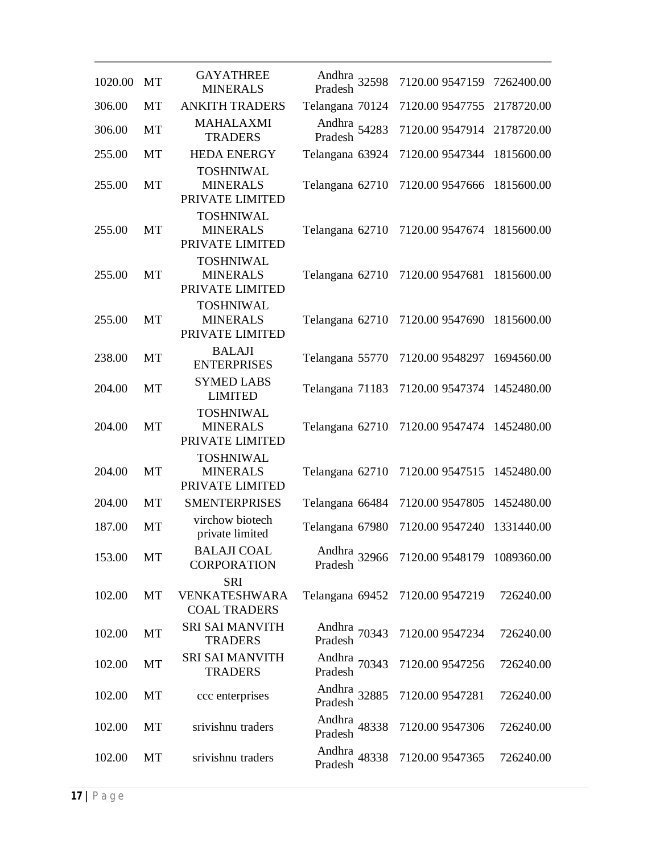| 1020.00 | MT        | <b>GAYATHREE</b><br><b>MINERALS</b>                    | Andhra 32598<br>Pradesh | 7120.00 9547159                 | 7262400.00 |
|---------|-----------|--------------------------------------------------------|-------------------------|---------------------------------|------------|
| 306.00  | <b>MT</b> | <b>ANKITH TRADERS</b>                                  | Telangana 70124         | 7120.00 9547755                 | 2178720.00 |
| 306.00  | MT        | <b>MAHALAXMI</b><br><b>TRADERS</b>                     | Andhra 54283<br>Pradesh | 7120.00 9547914                 | 2178720.00 |
| 255.00  | <b>MT</b> | <b>HEDA ENERGY</b>                                     | Telangana 63924         | 7120.00 9547344                 | 1815600.00 |
| 255.00  | MT        | <b>TOSHNIWAL</b><br><b>MINERALS</b><br>PRIVATE LIMITED | Telangana 62710         | 7120.00 9547666                 | 1815600.00 |
| 255.00  | MT        | <b>TOSHNIWAL</b><br><b>MINERALS</b><br>PRIVATE LIMITED | Telangana 62710         | 7120.00 9547674 1815600.00      |            |
| 255.00  | MT        | <b>TOSHNIWAL</b><br><b>MINERALS</b><br>PRIVATE LIMITED | Telangana 62710         | 7120.00 9547681                 | 1815600.00 |
| 255.00  | MT        | <b>TOSHNIWAL</b><br><b>MINERALS</b><br>PRIVATE LIMITED | Telangana 62710         | 7120.00 9547690                 | 1815600.00 |
| 238.00  | MT        | <b>BALAJI</b><br><b>ENTERPRISES</b>                    | Telangana 55770         | 7120.00 9548297                 | 1694560.00 |
| 204.00  | MT        | <b>SYMED LABS</b><br><b>LIMITED</b>                    | Telangana 71183         | 7120.00 9547374                 | 1452480.00 |
| 204.00  | MT        | <b>TOSHNIWAL</b><br><b>MINERALS</b><br>PRIVATE LIMITED | Telangana 62710         | 7120.00 9547474                 | 1452480.00 |
| 204.00  | MT        | <b>TOSHNIWAL</b><br><b>MINERALS</b><br>PRIVATE LIMITED | Telangana 62710         | 7120.00 9547515                 | 1452480.00 |
| 204.00  | <b>MT</b> | <b>SMENTERPRISES</b>                                   | Telangana 66484         | 7120.00 9547805                 | 1452480.00 |
| 187.00  | MT        | virchow biotech<br>private limited                     | Telangana 67980         | 7120.00 9547240                 | 1331440.00 |
| 153.00  | MT        | <b>BALAJI COAL</b><br><b>CORPORATION</b>               | Andhra 32966<br>Pradesh | 7120.00 9548179 1089360.00      |            |
| 102.00  | MT        | <b>SRI</b><br>VENKATESHWARA<br><b>COAL TRADERS</b>     |                         | Telangana 69452 7120.00 9547219 | 726240.00  |
| 102.00  | MT        | <b>SRI SAI MANVITH</b><br><b>TRADERS</b>               | Andhra 70343<br>Pradesh | 7120.00 9547234                 | 726240.00  |
| 102.00  | MT        | <b>SRI SAI MANVITH</b><br><b>TRADERS</b>               | Andhra 70343<br>Pradesh | 7120.00 9547256                 | 726240.00  |
| 102.00  | MT        | ccc enterprises                                        | Andhra<br>Pradesh 32885 | 7120.00 9547281                 | 726240.00  |
| 102.00  | MT        | srivishnu traders                                      | Andhra 48338<br>Pradesh | 7120.00 9547306                 | 726240.00  |
| 102.00  | MT        | srivishnu traders                                      | Andhra 48338<br>Pradesh | 7120.00 9547365                 | 726240.00  |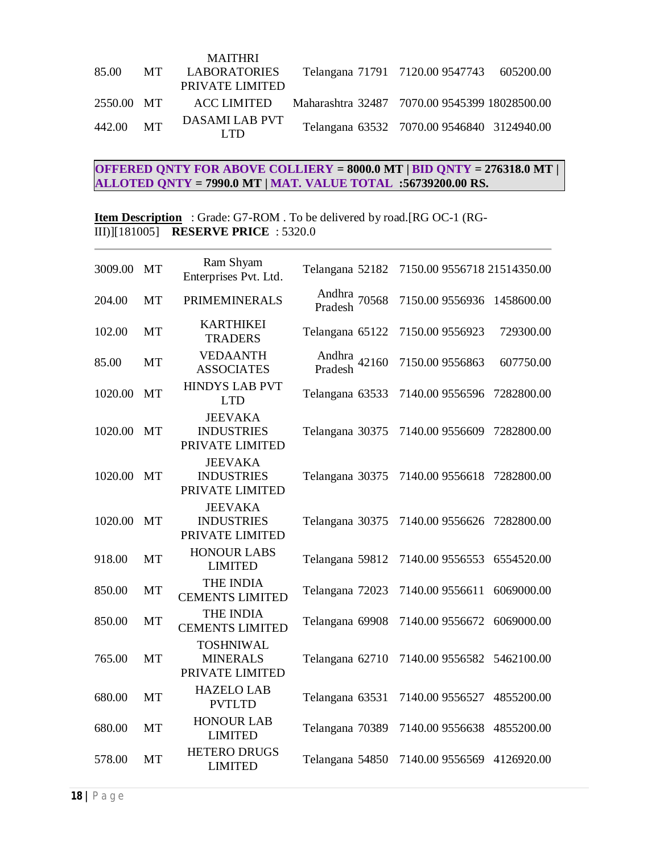|            |      | <b>MAITHRI</b>         |                                                           |  |
|------------|------|------------------------|-----------------------------------------------------------|--|
| 85.00      | MT – | LABORATORIES           | Telangana 71791 7120.00 9547743 605200.00                 |  |
|            |      | PRIVATE LIMITED        |                                                           |  |
| 2550.00 MT |      |                        | ACC LIMITED Maharashtra 32487 7070.00 9545399 18028500.00 |  |
| 442.00 MT  |      | DASAMI LAB PVT<br>LTD. | Telangana 63532 7070.00 9546840 3124940.00                |  |

# **OFFERED QNTY FOR ABOVE COLLIERY = 8000.0 MT | BID QNTY = 276318.0 MT | ALLOTED QNTY = 7990.0 MT | MAT. VALUE TOTAL :56739200.00 RS.**

**Item Description** : Grade: G7-ROM . To be delivered by road.[RG OC-1 (RG-III)][181005] **RESERVE PRICE** : 5320.0

| 3009.00 | <b>MT</b> | Ram Shyam<br>Enterprises Pvt. Ltd.                     | Telangana 52182         | 7150.00 9556718 21514350.00 |            |
|---------|-----------|--------------------------------------------------------|-------------------------|-----------------------------|------------|
| 204.00  | <b>MT</b> | <b>PRIMEMINERALS</b>                                   | Andhra<br>Pradesh 70568 | 7150.00 9556936             | 1458600.00 |
| 102.00  | <b>MT</b> | <b>KARTHIKEI</b><br><b>TRADERS</b>                     | Telangana 65122         | 7150.00 9556923             | 729300.00  |
| 85.00   | <b>MT</b> | <b>VEDAANTH</b><br><b>ASSOCIATES</b>                   | Andhra 42160<br>Pradesh | 7150.00 9556863             | 607750.00  |
| 1020.00 | MT        | <b>HINDYS LAB PVT</b><br><b>LTD</b>                    | Telangana 63533         | 7140.00 9556596             | 7282800.00 |
| 1020.00 | MT        | <b>JEEVAKA</b><br><b>INDUSTRIES</b><br>PRIVATE LIMITED | Telangana 30375         | 7140.00 9556609             | 7282800.00 |
| 1020.00 | <b>MT</b> | <b>JEEVAKA</b><br><b>INDUSTRIES</b><br>PRIVATE LIMITED | Telangana 30375         | 7140.00 9556618             | 7282800.00 |
| 1020.00 | <b>MT</b> | <b>JEEVAKA</b><br><b>INDUSTRIES</b><br>PRIVATE LIMITED | Telangana 30375         | 7140.00 9556626             | 7282800.00 |
| 918.00  | <b>MT</b> | <b>HONOUR LABS</b><br><b>LIMITED</b>                   | Telangana 59812         | 7140.00 9556553             | 6554520.00 |
| 850.00  | MT        | <b>THE INDIA</b><br><b>CEMENTS LIMITED</b>             | Telangana 72023         | 7140.00 9556611             | 6069000.00 |
| 850.00  | MT        | THE INDIA<br><b>CEMENTS LIMITED</b>                    | Telangana 69908         | 7140.00 9556672             | 6069000.00 |
| 765.00  | MT        | <b>TOSHNIWAL</b><br><b>MINERALS</b><br>PRIVATE LIMITED | Telangana 62710         | 7140.00 9556582             | 5462100.00 |
| 680.00  | <b>MT</b> | <b>HAZELO LAB</b><br><b>PVTLTD</b>                     | Telangana 63531         | 7140.00 9556527             | 4855200.00 |
| 680.00  | MT        | <b>HONOUR LAB</b><br><b>LIMITED</b>                    | Telangana 70389         | 7140.00 9556638             | 4855200.00 |
| 578.00  | <b>MT</b> | <b>HETERO DRUGS</b><br><b>LIMITED</b>                  | Telangana 54850         | 7140.00 9556569             | 4126920.00 |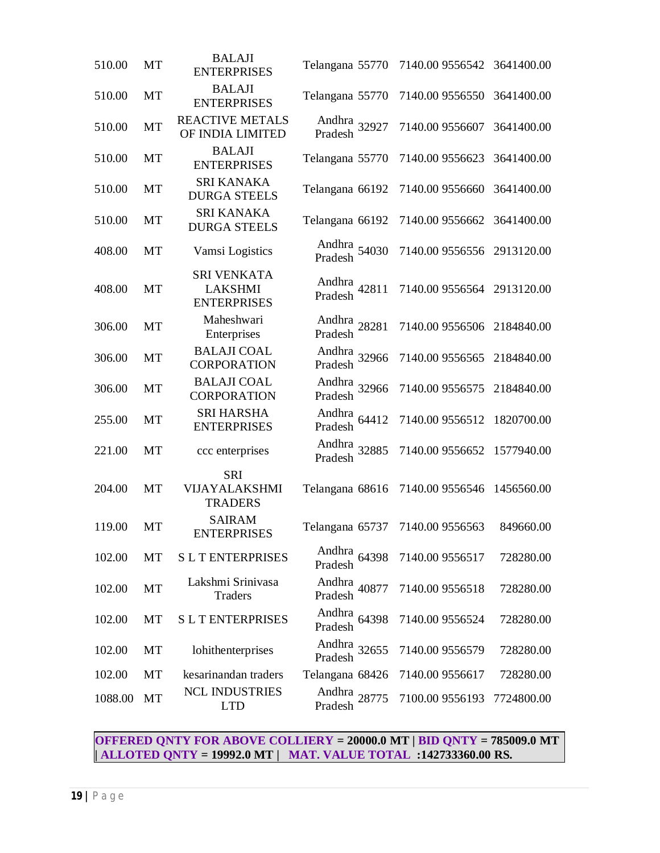| 510.00  | MT | <b>BALAJI</b><br><b>ENTERPRISES</b>                        | Telangana 55770                    | 7140.00 9556542 3641400.00 |            |
|---------|----|------------------------------------------------------------|------------------------------------|----------------------------|------------|
| 510.00  | MT | <b>BALAJI</b><br><b>ENTERPRISES</b>                        | Telangana 55770                    | 7140.00 9556550            | 3641400.00 |
| 510.00  | MT | <b>REACTIVE METALS</b><br>OF INDIA LIMITED                 | Andhra 32927<br>Pradesh            | 7140.00 9556607            | 3641400.00 |
| 510.00  | MT | <b>BALAJI</b><br><b>ENTERPRISES</b>                        | Telangana 55770                    | 7140.00 9556623            | 3641400.00 |
| 510.00  | MT | <b>SRI KANAKA</b><br><b>DURGA STEELS</b>                   | Telangana 66192                    | 7140.00 9556660            | 3641400.00 |
| 510.00  | MT | <b>SRI KANAKA</b><br><b>DURGA STEELS</b>                   | Telangana 66192                    | 7140.00 9556662            | 3641400.00 |
| 408.00  | MT | Vamsi Logistics                                            | Andhra<br>Pradesh 54030            | 7140.00 9556556 2913120.00 |            |
| 408.00  | MT | <b>SRI VENKATA</b><br><b>LAKSHMI</b><br><b>ENTERPRISES</b> | Andhra<br>Pradesh 42811            | 7140.00 9556564 2913120.00 |            |
| 306.00  | MT | Maheshwari<br>Enterprises                                  | Andhra<br>Pradesh <sup>28281</sup> | 7140.00 9556506            | 2184840.00 |
| 306.00  | MT | <b>BALAJI COAL</b><br><b>CORPORATION</b>                   | Andhra 32966<br>Pradesh            | 7140.00 9556565            | 2184840.00 |
| 306.00  | MT | <b>BALAJI COAL</b><br><b>CORPORATION</b>                   | Andhra 32966<br>Pradesh            | 7140.00 9556575            | 2184840.00 |
| 255.00  | MT | <b>SRI HARSHA</b><br><b>ENTERPRISES</b>                    | Andhra<br>64412<br>Pradesh         | 7140.00 9556512            | 1820700.00 |
| 221.00  | MT | ccc enterprises                                            | Andhra 32885<br>Pradesh            | 7140.00 9556652            | 1577940.00 |
| 204.00  | MT | <b>SRI</b><br>VIJAYALAKSHMI<br><b>TRADERS</b>              | Telangana 68616                    | 7140.00 9556546            | 1456560.00 |
| 119.00  | MT | <b>SAIRAM</b><br><b>ENTERPRISES</b>                        | Telangana 65737                    | 7140.00 9556563            | 849660.00  |
| 102.00  | МT | <b>SLTENTERPRISES</b>                                      | Andhra<br>64398<br>Pradesh         | 7140.00 9556517            | 728280.00  |
| 102.00  | MT | Lakshmi Srinivasa<br>Traders                               | Andhra 40877<br>Pradesh            | 7140.00 9556518            | 728280.00  |
| 102.00  | MT | <b>SLTENTERPRISES</b>                                      | Andhra 64398<br>Pradesh            | 7140.00 9556524            | 728280.00  |
| 102.00  | MT | lohithenterprises                                          | Andhra 32655<br>Pradesh            | 7140.00 9556579            | 728280.00  |
| 102.00  | MT | kesarinandan traders                                       | Telangana 68426                    | 7140.00 9556617            | 728280.00  |
| 1088.00 | MT | <b>NCL INDUSTRIES</b><br><b>LTD</b>                        | Andhra 28775<br>Pradesh            | 7100.00 9556193            | 7724800.00 |
|         |    |                                                            |                                    |                            |            |

#### **OFFERED QNTY FOR ABOVE COLLIERY = 20000.0 MT | BID QNTY = 785009.0 MT | ALLOTED QNTY = 19992.0 MT | MAT. VALUE TOTAL :142733360.00 RS.**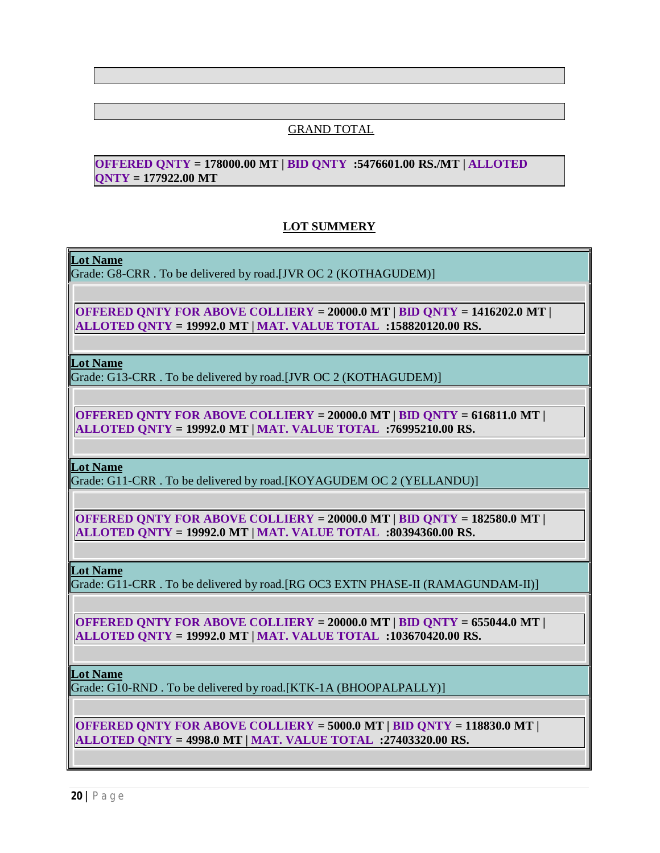## GRAND TOTAL

## **OFFERED QNTY = 178000.00 MT | BID QNTY :5476601.00 RS./MT | ALLOTED QNTY = 177922.00 MT**

## **LOT SUMMERY**

**Lot Name**

Grade: G8-CRR . To be delivered by road.[JVR OC 2 (KOTHAGUDEM)]

**OFFERED QNTY FOR ABOVE COLLIERY = 20000.0 MT | BID QNTY = 1416202.0 MT | ALLOTED QNTY = 19992.0 MT | MAT. VALUE TOTAL :158820120.00 RS.**

**Lot Name**

Grade: G13-CRR . To be delivered by road.[JVR OC 2 (KOTHAGUDEM)]

**OFFERED QNTY FOR ABOVE COLLIERY = 20000.0 MT | BID QNTY = 616811.0 MT | ALLOTED QNTY = 19992.0 MT | MAT. VALUE TOTAL :76995210.00 RS.**

**Lot Name**

Grade: G11-CRR . To be delivered by road.[KOYAGUDEM OC 2 (YELLANDU)]

**OFFERED QNTY FOR ABOVE COLLIERY = 20000.0 MT | BID QNTY = 182580.0 MT | ALLOTED QNTY = 19992.0 MT | MAT. VALUE TOTAL :80394360.00 RS.**

**Lot Name**

Grade: G11-CRR . To be delivered by road.[RG OC3 EXTN PHASE-II (RAMAGUNDAM-II)]

**OFFERED QNTY FOR ABOVE COLLIERY = 20000.0 MT | BID QNTY = 655044.0 MT | ALLOTED QNTY = 19992.0 MT | MAT. VALUE TOTAL :103670420.00 RS.**

**Lot Name**

Grade: G10-RND . To be delivered by road.[KTK-1A (BHOOPALPALLY)]

**OFFERED QNTY FOR ABOVE COLLIERY = 5000.0 MT | BID QNTY = 118830.0 MT | ALLOTED QNTY = 4998.0 MT | MAT. VALUE TOTAL :27403320.00 RS.**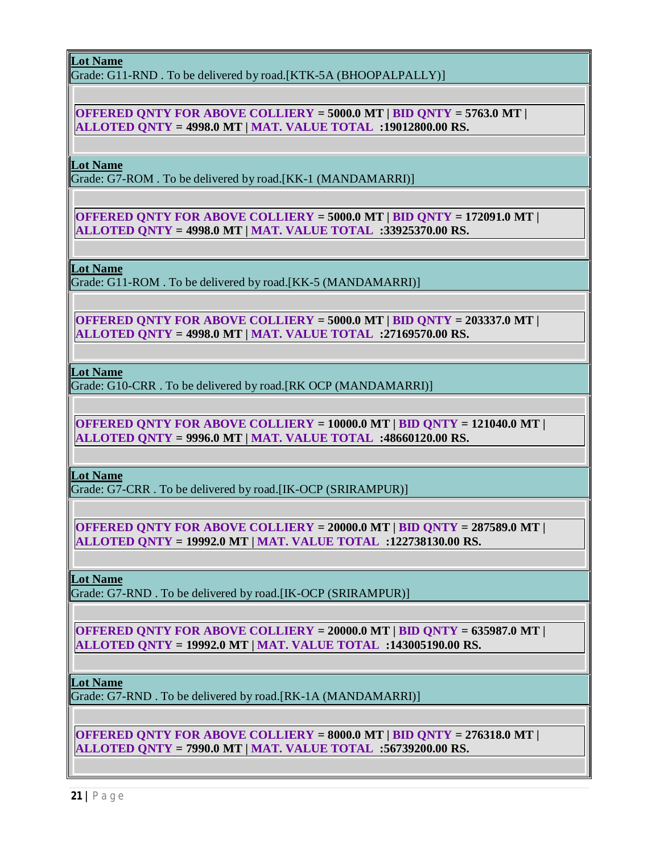**Lot Name**

Grade: G11-RND . To be delivered by road.[KTK-5A (BHOOPALPALLY)]

**OFFERED QNTY FOR ABOVE COLLIERY = 5000.0 MT | BID QNTY = 5763.0 MT | ALLOTED QNTY = 4998.0 MT | MAT. VALUE TOTAL :19012800.00 RS.**

**Lot Name**

Grade: G7-ROM . To be delivered by road.[KK-1 (MANDAMARRI)]

**OFFERED QNTY FOR ABOVE COLLIERY = 5000.0 MT | BID QNTY = 172091.0 MT | ALLOTED QNTY = 4998.0 MT | MAT. VALUE TOTAL :33925370.00 RS.**

**Lot Name**

Grade: G11-ROM . To be delivered by road.[KK-5 (MANDAMARRI)]

**OFFERED QNTY FOR ABOVE COLLIERY = 5000.0 MT | BID QNTY = 203337.0 MT | ALLOTED QNTY = 4998.0 MT | MAT. VALUE TOTAL :27169570.00 RS.**

**Lot Name**

Grade: G10-CRR . To be delivered by road.[RK OCP (MANDAMARRI)]

**OFFERED QNTY FOR ABOVE COLLIERY = 10000.0 MT | BID QNTY = 121040.0 MT | ALLOTED QNTY = 9996.0 MT | MAT. VALUE TOTAL :48660120.00 RS.**

**Lot Name**

Grade: G7-CRR . To be delivered by road.[IK-OCP (SRIRAMPUR)]

**OFFERED QNTY FOR ABOVE COLLIERY = 20000.0 MT | BID QNTY = 287589.0 MT | ALLOTED QNTY = 19992.0 MT | MAT. VALUE TOTAL :122738130.00 RS.**

**Lot Name**

Grade: G7-RND . To be delivered by road.[IK-OCP (SRIRAMPUR)]

**OFFERED QNTY FOR ABOVE COLLIERY = 20000.0 MT | BID QNTY = 635987.0 MT | ALLOTED QNTY = 19992.0 MT | MAT. VALUE TOTAL :143005190.00 RS.**

**Lot Name**

Grade: G7-RND . To be delivered by road.[RK-1A (MANDAMARRI)]

**OFFERED QNTY FOR ABOVE COLLIERY = 8000.0 MT | BID QNTY = 276318.0 MT | ALLOTED QNTY = 7990.0 MT | MAT. VALUE TOTAL :56739200.00 RS.**